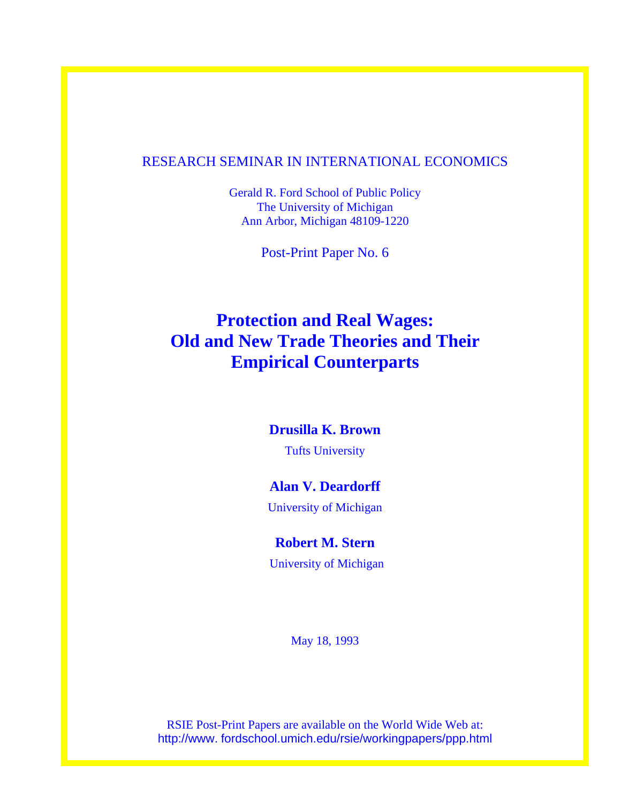# RESEARCH SEMINAR IN INTERNATIONAL ECONOMICS

Gerald R. Ford School of Public Policy The University of Michigan Ann Arbor, Michigan 48109-1220

Post-Print Paper No. 6

# **Protection and Real Wages: Old and New Trade Theories and Their Empirical Counterparts**

## **Drusilla K. Brown**

Tufts University

# **Alan V. Deardorff**

University of Michigan

# **Robert M. Stern**

University of Michigan

May 18, 1993

RSIE Post-Print Papers are available on the World Wide Web at: http://www. fordschool.umich.edu/rsie/workingpapers/ppp.html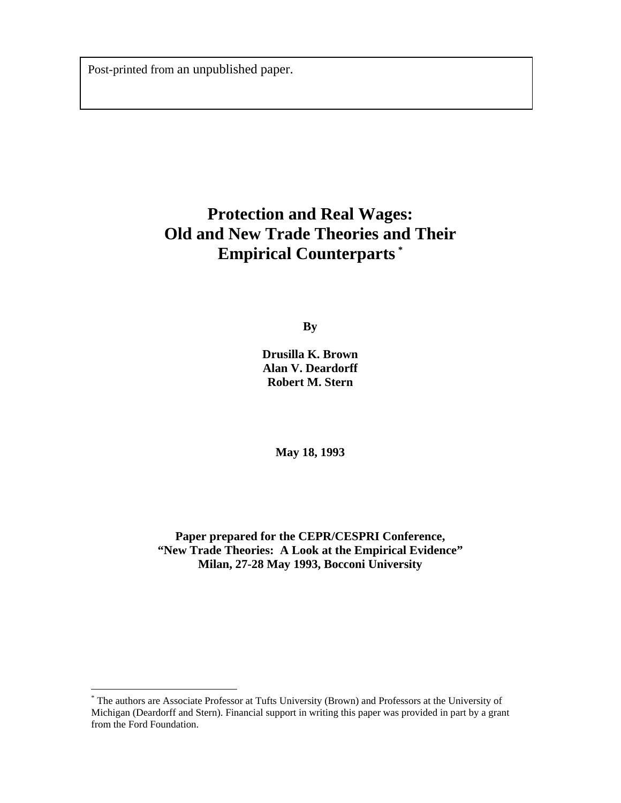Post-printed from an unpublished paper.

# **Protection and Real Wages: Old and New Trade Theories and Their Empirical Counterparts [\\*](#page-1-0)**

**By** 

**Drusilla K. Brown Alan V. Deardorff Robert M. Stern** 

**May 18, 1993** 

**Paper prepared for the CEPR/CESPRI Conference, "New Trade Theories: A Look at the Empirical Evidence" Milan, 27-28 May 1993, Bocconi University** 

 $\overline{a}$ 

<span id="page-1-0"></span><sup>\*</sup> The authors are Associate Professor at Tufts University (Brown) and Professors at the University of Michigan (Deardorff and Stern). Financial support in writing this paper was provided in part by a grant from the Ford Foundation.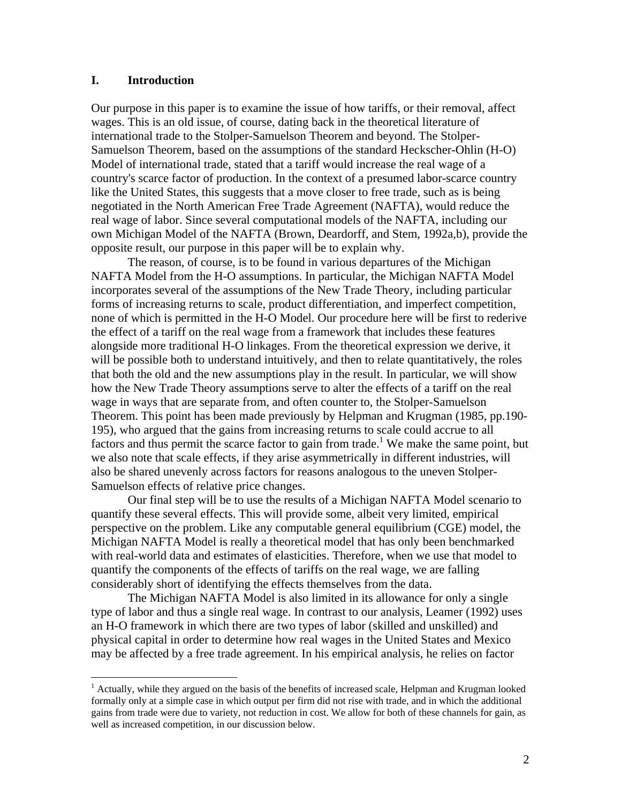### **I. Introduction**

 $\overline{a}$ 

Our purpose in this paper is to examine the issue of how tariffs, or their removal, affect wages. This is an old issue, of course, dating back in the theoretical literature of international trade to the Stolper-Samuelson Theorem and beyond. The Stolper-Samuelson Theorem, based on the assumptions of the standard Heckscher-Ohlin (H-O) Model of international trade, stated that a tariff would increase the real wage of a country's scarce factor of production. In the context of a presumed labor-scarce country like the United States, this suggests that a move closer to free trade, such as is being negotiated in the North American Free Trade Agreement (NAFTA), would reduce the real wage of labor. Since several computational models of the NAFTA, including our own Michigan Model of the NAFTA (Brown, Deardorff, and Stem, 1992a,b), provide the opposite result, our purpose in this paper will be to explain why.

The reason, of course, is to be found in various departures of the Michigan NAFTA Model from the H-O assumptions. In particular, the Michigan NAFTA Model incorporates several of the assumptions of the New Trade Theory, including particular forms of increasing returns to scale, product differentiation, and imperfect competition, none of which is permitted in the H-O Model. Our procedure here will be first to rederive the effect of a tariff on the real wage from a framework that includes these features alongside more traditional H-O linkages. From the theoretical expression we derive, it will be possible both to understand intuitively, and then to relate quantitatively, the roles that both the old and the new assumptions play in the result. In particular, we will show how the New Trade Theory assumptions serve to alter the effects of a tariff on the real wage in ways that are separate from, and often counter to, the Stolper-Samuelson Theorem. This point has been made previously by Helpman and Krugman (1985, pp.190- 195), who argued that the gains from increasing returns to scale could accrue to all factors and thus permit the scarce factor to gain from trade.<sup>1</sup> We make the same point, but we also note that scale effects, if they arise asymmetrically in different industries, will also be shared unevenly across factors for reasons analogous to the uneven Stolper-Samuelson effects of relative price changes.

Our final step will be to use the results of a Michigan NAFTA Model scenario to quantify these several effects. This will provide some, albeit very limited, empirical perspective on the problem. Like any computable general equilibrium (CGE) model, the Michigan NAFTA Model is really a theoretical model that has only been benchmarked with real-world data and estimates of elasticities. Therefore, when we use that model to quantify the components of the effects of tariffs on the real wage, we are falling considerably short of identifying the effects themselves from the data.

The Michigan NAFTA Model is also limited in its allowance for only a single type of labor and thus a single real wage. In contrast to our analysis, Leamer (1992) uses an H-O framework in which there are two types of labor (skilled and unskilled) and physical capital in order to determine how real wages in the United States and Mexico may be affected by a free trade agreement. In his empirical analysis, he relies on factor

<span id="page-2-0"></span><sup>&</sup>lt;sup>1</sup> Actually, while they argued on the basis of the benefits of increased scale, Helpman and Krugman looked formally only at a simple case in which output per firm did not rise with trade, and in which the additional gains from trade were due to variety, not reduction in cost. We allow for both of these channels for gain, as well as increased competition, in our discussion below.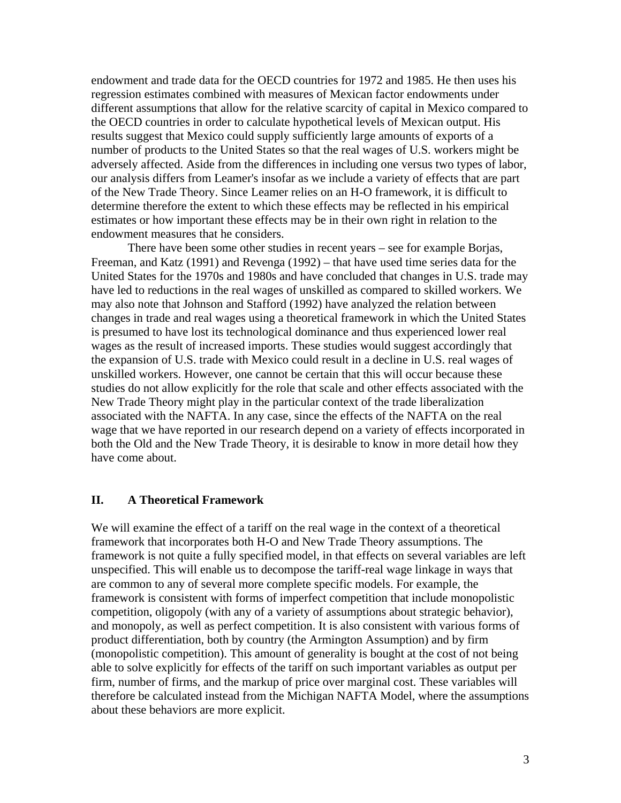endowment and trade data for the OECD countries for 1972 and 1985. He then uses his regression estimates combined with measures of Mexican factor endowments under different assumptions that allow for the relative scarcity of capital in Mexico compared to the OECD countries in order to calculate hypothetical levels of Mexican output. His results suggest that Mexico could supply sufficiently large amounts of exports of a number of products to the United States so that the real wages of U.S. workers might be adversely affected. Aside from the differences in including one versus two types of labor, our analysis differs from Leamer's insofar as we include a variety of effects that are part of the New Trade Theory. Since Leamer relies on an H-O framework, it is difficult to determine therefore the extent to which these effects may be reflected in his empirical estimates or how important these effects may be in their own right in relation to the endowment measures that he considers.

There have been some other studies in recent years – see for example Borjas, Freeman, and Katz (1991) and Revenga (1992) – that have used time series data for the United States for the 1970s and 1980s and have concluded that changes in U.S. trade may have led to reductions in the real wages of unskilled as compared to skilled workers. We may also note that Johnson and Stafford (1992) have analyzed the relation between changes in trade and real wages using a theoretical framework in which the United States is presumed to have lost its technological dominance and thus experienced lower real wages as the result of increased imports. These studies would suggest accordingly that the expansion of U.S. trade with Mexico could result in a decline in U.S. real wages of unskilled workers. However, one cannot be certain that this will occur because these studies do not allow explicitly for the role that scale and other effects associated with the New Trade Theory might play in the particular context of the trade liberalization associated with the NAFTA. In any case, since the effects of the NAFTA on the real wage that we have reported in our research depend on a variety of effects incorporated in both the Old and the New Trade Theory, it is desirable to know in more detail how they have come about.

#### **II. A Theoretical Framework**

We will examine the effect of a tariff on the real wage in the context of a theoretical framework that incorporates both H-O and New Trade Theory assumptions. The framework is not quite a fully specified model, in that effects on several variables are left unspecified. This will enable us to decompose the tariff-real wage linkage in ways that are common to any of several more complete specific models. For example, the framework is consistent with forms of imperfect competition that include monopolistic competition, oligopoly (with any of a variety of assumptions about strategic behavior), and monopoly, as well as perfect competition. It is also consistent with various forms of product differentiation, both by country (the Armington Assumption) and by firm (monopolistic competition). This amount of generality is bought at the cost of not being able to solve explicitly for effects of the tariff on such important variables as output per firm, number of firms, and the markup of price over marginal cost. These variables will therefore be calculated instead from the Michigan NAFTA Model, where the assumptions about these behaviors are more explicit.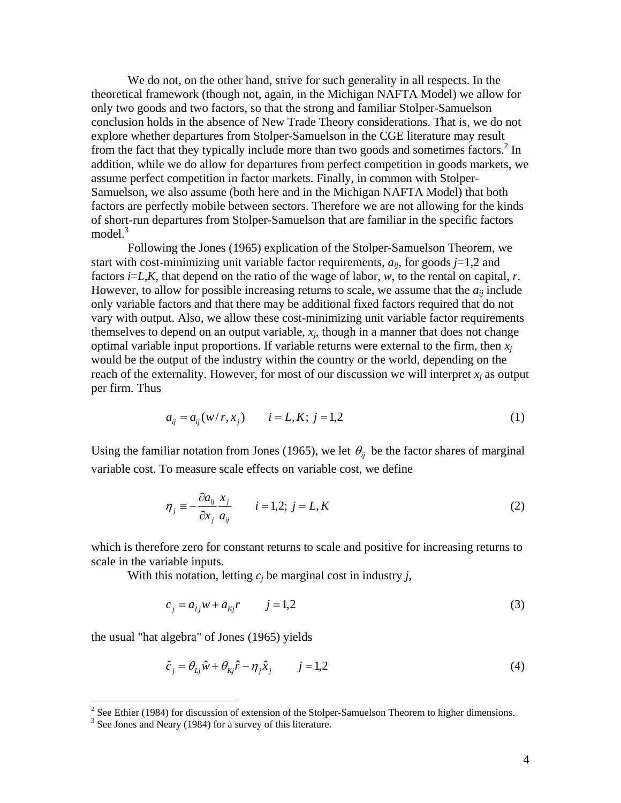We do not, on the other hand, strive for such generality in all respects. In the theoretical framework (though not, again, in the Michigan NAFTA Model) we allow for only two goods and two factors, so that the strong and familiar Stolper-Samuelson conclusion holds in the absence of New Trade Theory considerations. That is, we do not explore whether departures from Stolper-Samuelson in the CGE literature may result from the fact that they typically include more than two goods and sometimes factors.<sup>[2](#page-4-0)</sup> In addition, while we do allow for departures from perfect competition in goods markets, we assume perfect competition in factor markets. Finally, in common with Stolper-Samuelson, we also assume (both here and in the Michigan NAFTA Model) that both factors are perfectly mobile between sectors. Therefore we are not allowing for the kinds of short-run departures from Stolper-Samuelson that are familiar in the specific factors model $^3$  $^3$ 

Following the Jones (1965) explication of the Stolper-Samuelson Theorem, we start with cost-minimizing unit variable factor requirements,  $a_{ii}$ , for goods  $j=1,2$  and factors *i*=*L*,*K*, that depend on the ratio of the wage of labor, *w*, to the rental on capital, *r*. However, to allow for possible increasing returns to scale, we assume that the  $a_{ii}$  include only variable factors and that there may be additional fixed factors required that do not vary with output. Also, we allow these cost-minimizing unit variable factor requirements themselves to depend on an output variable,  $x_i$ , though in a manner that does not change optimal variable input proportions. If variable returns were external to the firm, then  $x_i$ would be the output of the industry within the country or the world, depending on the reach of the externality. However, for most of our discussion we will interpret  $x_i$  as output per firm. Thus

$$
a_{ij} = a_{ij}(w/r, x_j) \qquad i = L, K; \ j = 1, 2 \tag{1}
$$

Using the familiar notation from Jones (1965), we let  $\theta_i$  be the factor shares of marginal variable cost. To measure scale effects on variable cost, we define

$$
\eta_j \equiv -\frac{\partial a_{ij}}{\partial x_j} \frac{x_j}{a_{ij}} \qquad i = 1, 2; \ j = L, K \tag{2}
$$

which is therefore zero for constant returns to scale and positive for increasing returns to scale in the variable inputs.

With this notation, letting  $c_i$  be marginal cost in industry *j*,

$$
c_j = a_{Lj}w + a_{Kj}r \t j = 1,2
$$
\t(3)

the usual "hat algebra" of Jones (1965) yields

$$
\hat{c}_j = \theta_{Lj}\hat{w} + \theta_{kj}\hat{r} - \eta_j\hat{x}_j \qquad j = 1,2
$$
\n(4)

<span id="page-4-0"></span> $\frac{2}{\pi}$  See Ethier (1984) for discussion of extension of the Stolper-Samuelson Theorem to higher dimensions.

<span id="page-4-1"></span> $3$  See Jones and Neary (1984) for a survey of this literature.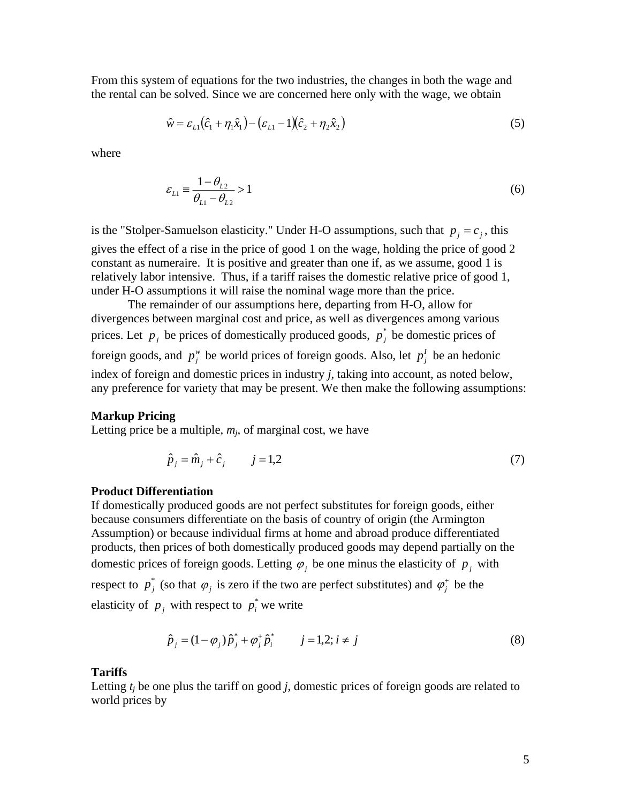From this system of equations for the two industries, the changes in both the wage and the rental can be solved. Since we are concerned here only with the wage, we obtain

$$
\hat{w} = \varepsilon_{L1} (\hat{c}_1 + \eta_1 \hat{x}_1) - (\varepsilon_{L1} - 1)(\hat{c}_2 + \eta_2 \hat{x}_2)
$$
\n(5)

where

$$
\varepsilon_{L1} \equiv \frac{1 - \theta_{L2}}{\theta_{L1} - \theta_{L2}} > 1\tag{6}
$$

is the "Stolper-Samuelson elasticity." Under H-O assumptions, such that  $p_j = c_j$ , this gives the effect of a rise in the price of good 1 on the wage, holding the price of good 2 constant as numeraire. It is positive and greater than one if, as we assume, good 1 is relatively labor intensive. Thus, if a tariff raises the domestic relative price of good 1, under H-O assumptions it will raise the nominal wage more than the price.

The remainder of our assumptions here, departing from H-O, allow for divergences between marginal cost and price, as well as divergences among various prices. Let  $p_j$  be prices of domestically produced goods,  $p_j^*$  be domestic prices of foreign goods, and  $p_j^w$  be world prices of foreign goods. Also, let  $p_j^I$  be an hedonic index of foreign and domestic prices in industry *j*, taking into account, as noted below, any preference for variety that may be present. We then make the following assumptions:

#### **Markup Pricing**

Letting price be a multiple,  $m_i$ , of marginal cost, we have

$$
\hat{p}_j = \hat{m}_j + \hat{c}_j \qquad j = 1,2 \tag{7}
$$

#### **Product Differentiation**

If domestically produced goods are not perfect substitutes for foreign goods, either because consumers differentiate on the basis of country of origin (the Armington Assumption) or because individual firms at home and abroad produce differentiated products, then prices of both domestically produced goods may depend partially on the domestic prices of foreign goods. Letting  $\varphi_j$  be one minus the elasticity of  $p_j$  with respect to  $p_j^*$  (so that  $\varphi_j$  is zero if the two are perfect substitutes) and  $\varphi_j^*$  be the elasticity of  $p_j$  with respect to  $p_i^*$  we write

$$
\hat{p}_j = (1 - \varphi_j) \hat{p}_j^* + \varphi_j^* \hat{p}_i^* \qquad j = 1, 2; i \neq j \tag{8}
$$

#### **Tariffs**

Letting *tj* be one plus the tariff on good *j*, domestic prices of foreign goods are related to world prices by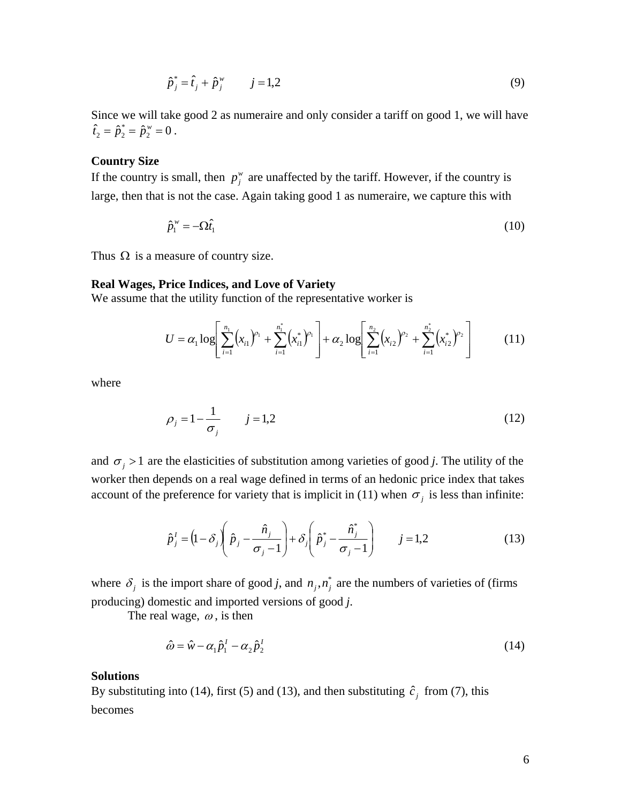$$
\hat{p}_j^* = \hat{t}_j + \hat{p}_j^w \qquad j = 1,2
$$
\n(9)

Since we will take good 2 as numeraire and only consider a tariff on good 1, we will have  $\hat{t}_2 = \hat{p}_2^* = \hat{p}_2^* = 0$ .

#### **Country Size**

If the country is small, then  $p_j^w$  are unaffected by the tariff. However, if the country is large, then that is not the case. Again taking good 1 as numeraire, we capture this with

$$
\hat{p}_1^{\,\nu} = -\Omega \hat{t}_1 \tag{10}
$$

Thus  $\Omega$  is a measure of country size.

#### **Real Wages, Price Indices, and Love of Variety**

We assume that the utility function of the representative worker is

$$
U = \alpha_1 \log \left[ \sum_{i=1}^{n_1} (x_{i1})^{\rho_1} + \sum_{i=1}^{n_1} (x_{i1}^*)^{\rho_1} \right] + \alpha_2 \log \left[ \sum_{i=1}^{n_2} (x_{i2})^{\rho_2} + \sum_{i=1}^{n_2} (x_{i2}^*)^{\rho_2} \right]
$$
(11)

where

$$
\rho_j = 1 - \frac{1}{\sigma_j} \qquad j = 1,2 \tag{12}
$$

and  $\sigma_j > 1$  are the elasticities of substitution among varieties of good *j*. The utility of the worker then depends on a real wage defined in terms of an hedonic price index that takes account of the preference for variety that is implicit in (11) when  $\sigma_i$  is less than infinite:

$$
\hat{p}_j^I = \left(1 - \delta_j \left(\hat{p}_j - \frac{\hat{n}_j}{\sigma_j - 1}\right) + \delta_j \left(\hat{p}_j^* - \frac{\hat{n}_j^*}{\sigma_j - 1}\right) \qquad j = 1, 2 \tag{13}
$$

where  $\delta_j$  is the import share of good *j*, and  $n_j, n_j^*$  are the numbers of varieties of (firms producing) domestic and imported versions of good *j*.

The real wage,  $\omega$ , is then

$$
\hat{\omega} = \hat{w} - \alpha_1 \hat{p}_1^I - \alpha_2 \hat{p}_2^I \tag{14}
$$

#### **Solutions**

By substituting into (14), first (5) and (13), and then substituting  $\hat{c}_j$  from (7), this becomes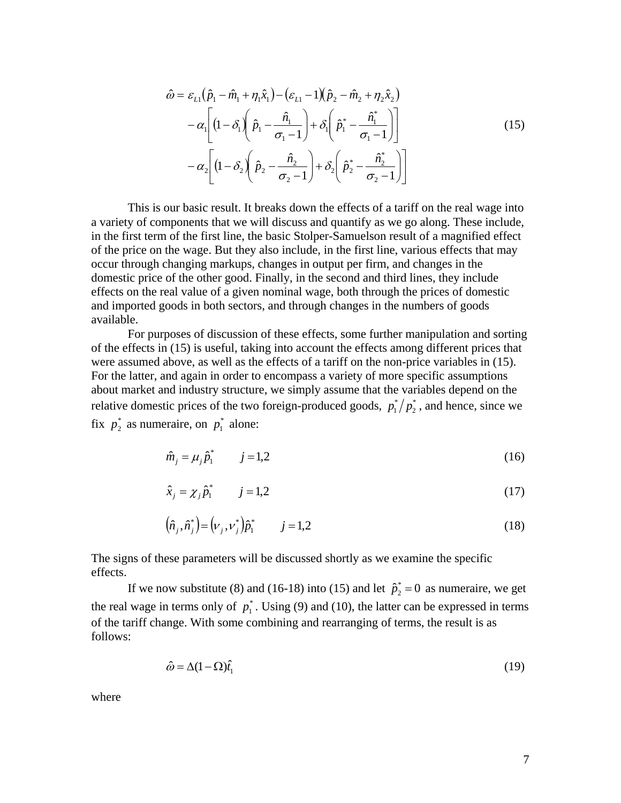$$
\hat{\omega} = \varepsilon_{L1} (\hat{p}_1 - \hat{m}_1 + \eta_1 \hat{x}_1) - (\varepsilon_{L1} - 1)(\hat{p}_2 - \hat{m}_2 + \eta_2 \hat{x}_2) \n- \alpha_1 \left[ (1 - \delta_1) \left( \hat{p}_1 - \frac{\hat{n}_1}{\sigma_1 - 1} \right) + \delta_1 \left( \hat{p}_1^* - \frac{\hat{n}_1^*}{\sigma_1 - 1} \right) \right] \n- \alpha_2 \left[ (1 - \delta_2) \left( \hat{p}_2 - \frac{\hat{n}_2}{\sigma_2 - 1} \right) + \delta_2 \left( \hat{p}_2^* - \frac{\hat{n}_2^*}{\sigma_2 - 1} \right) \right]
$$
\n(15)

This is our basic result. It breaks down the effects of a tariff on the real wage into a variety of components that we will discuss and quantify as we go along. These include, in the first term of the first line, the basic Stolper-Samuelson result of a magnified effect of the price on the wage. But they also include, in the first line, various effects that may occur through changing markups, changes in output per firm, and changes in the domestic price of the other good. Finally, in the second and third lines, they include effects on the real value of a given nominal wage, both through the prices of domestic and imported goods in both sectors, and through changes in the numbers of goods available.

For purposes of discussion of these effects, some further manipulation and sorting of the effects in (15) is useful, taking into account the effects among different prices that were assumed above, as well as the effects of a tariff on the non-price variables in (15). For the latter, and again in order to encompass a variety of more specific assumptions about market and industry structure, we simply assume that the variables depend on the relative domestic prices of the two foreign-produced goods,  $p_1^*/p_2^*$ , and hence, since we fix  $p_2^*$  as numeraire, on  $p_1^*$  alone:

$$
\hat{m}_j = \mu_j \hat{p}_1^* \qquad j = 1,2 \tag{16}
$$

$$
\hat{x}_j = \chi_j \hat{p}_1^* \qquad j = 1,2 \tag{17}
$$

$$
(\hat{n}_j, \hat{n}_j^*) = (\nu_j, \nu_j^*) \hat{p}_1^* \qquad j = 1, 2
$$
 (18)

The signs of these parameters will be discussed shortly as we examine the specific effects.

If we now substitute (8) and (16-18) into (15) and let  $\hat{p}_2^* = 0$  as numeraire, we get the real wage in terms only of  $p_1^*$ . Using (9) and (10), the latter can be expressed in terms of the tariff change. With some combining and rearranging of terms, the result is as follows:

$$
\hat{\omega} = \Delta (1 - \Omega) \hat{t}_1 \tag{19}
$$

where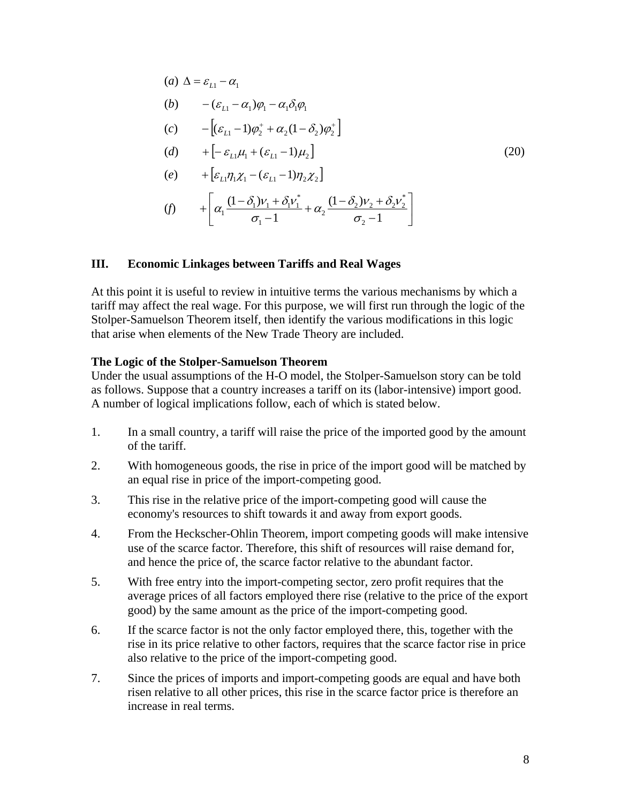(a) 
$$
\Delta = \varepsilon_{L1} - \alpha_1
$$
  
\n(b)  $-(\varepsilon_{L1} - \alpha_1)\varphi_1 - \alpha_1\delta_1\varphi_1$   
\n(c)  $-\left[ (\varepsilon_{L1} - 1)\varphi_2^+ + \alpha_2(1 - \delta_2)\varphi_2^+ \right]$   
\n(d)  $+\left[ -\varepsilon_{L1}\mu_1 + (\varepsilon_{L1} - 1)\mu_2 \right]$   
\n(e)  $+\left[ \varepsilon_{L1}\eta_1\chi_1 - (\varepsilon_{L1} - 1)\eta_2\chi_2 \right]$   
\n(f)  $+\left[ \alpha_1 \frac{(1 - \delta_1)\nu_1 + \delta_1\nu_1^*}{\sigma_1 - 1} + \alpha_2 \frac{(1 - \delta_2)\nu_2 + \delta_2\nu_2^*}{\sigma_2 - 1} \right]$  (20)

#### **III. Economic Linkages between Tariffs and Real Wages**

At this point it is useful to review in intuitive terms the various mechanisms by which a tariff may affect the real wage. For this purpose, we will first run through the logic of the Stolper-Samuelson Theorem itself, then identify the various modifications in this logic that arise when elements of the New Trade Theory are included.

#### **The Logic of the Stolper-Samuelson Theorem**

Under the usual assumptions of the H-O model, the Stolper-Samuelson story can be told as follows. Suppose that a country increases a tariff on its (labor-intensive) import good. A number of logical implications follow, each of which is stated below.

- 1. In a small country, a tariff will raise the price of the imported good by the amount of the tariff.
- 2. With homogeneous goods, the rise in price of the import good will be matched by an equal rise in price of the import-competing good.
- 3. This rise in the relative price of the import-competing good will cause the economy's resources to shift towards it and away from export goods.
- 4. From the Heckscher-Ohlin Theorem, import competing goods will make intensive use of the scarce factor. Therefore, this shift of resources will raise demand for, and hence the price of, the scarce factor relative to the abundant factor.
- 5. With free entry into the import-competing sector, zero profit requires that the average prices of all factors employed there rise (relative to the price of the export good) by the same amount as the price of the import-competing good.
- 6. If the scarce factor is not the only factor employed there, this, together with the rise in its price relative to other factors, requires that the scarce factor rise in price also relative to the price of the import-competing good.
- 7. Since the prices of imports and import-competing goods are equal and have both risen relative to all other prices, this rise in the scarce factor price is therefore an increase in real terms.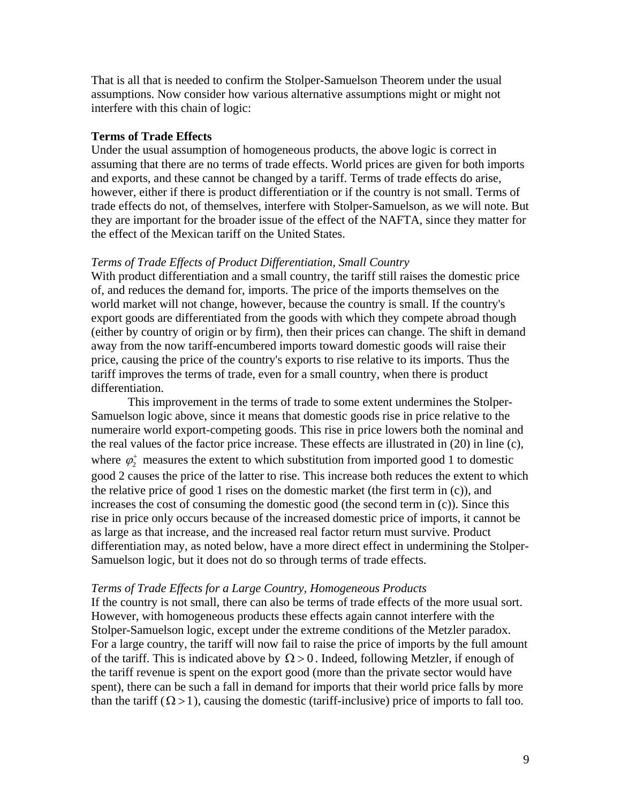That is all that is needed to confirm the Stolper-Samuelson Theorem under the usual assumptions. Now consider how various alternative assumptions might or might not interfere with this chain of logic:

#### **Terms of Trade Effects**

Under the usual assumption of homogeneous products, the above logic is correct in assuming that there are no terms of trade effects. World prices are given for both imports and exports, and these cannot be changed by a tariff. Terms of trade effects do arise, however, either if there is product differentiation or if the country is not small. Terms of trade effects do not, of themselves, interfere with Stolper-Samuelson, as we will note. But they are important for the broader issue of the effect of the NAFTA*,* since they matter for the effect of the Mexican tariff on the United States.

#### *Terms of Trade Effects of Product Differentiation, Small Country*

With product differentiation and a small country, the tariff still raises the domestic price of, and reduces the demand for, imports. The price of the imports themselves on the world market will not change, however, because the country is small. If the country's export goods are differentiated from the goods with which they compete abroad though (either by country of origin or by firm), then their prices can change. The shift in demand away from the now tariff-encumbered imports toward domestic goods will raise their price, causing the price of the country's exports to rise relative to its imports. Thus the tariff improves the terms of trade, even for a small country, when there is product differentiation.

This improvement in the terms of trade to some extent undermines the Stolper-Samuelson logic above, since it means that domestic goods rise in price relative to the numeraire world export-competing goods. This rise in price lowers both the nominal and the real values of the factor price increase. These effects are illustrated in (20) in line (c), where  $\varphi_2^+$  measures the extent to which substitution from imported good 1 to domestic good 2 causes the price of the latter to rise. This increase both reduces the extent to which the relative price of good 1 rises on the domestic market (the first term in (c)), and increases the cost of consuming the domestic good (the second term in  $(c)$ ). Since this rise in price only occurs because of the increased domestic price of imports, it cannot be as large as that increase, and the increased real factor return must survive. Product differentiation may, as noted below, have a more direct effect in undermining the Stolper-Samuelson logic, but it does not do so through terms of trade effects.

#### *Terms of Trade Effects for a Large Country, Homogeneous Products*

If the country is not small, there can also be terms of trade effects of the more usual sort. However, with homogeneous products these effects again cannot interfere with the Stolper-Samuelson logic, except under the extreme conditions of the Metzler paradox. For a large country, the tariff will now fail to raise the price of imports by the full amount of the tariff. This is indicated above by  $\Omega > 0$ . Indeed, following Metzler, if enough of the tariff revenue is spent on the export good (more than the private sector would have spent), there can be such a fall in demand for imports that their world price falls by more than the tariff  $(\Omega > 1)$ , causing the domestic (tariff-inclusive) price of imports to fall too.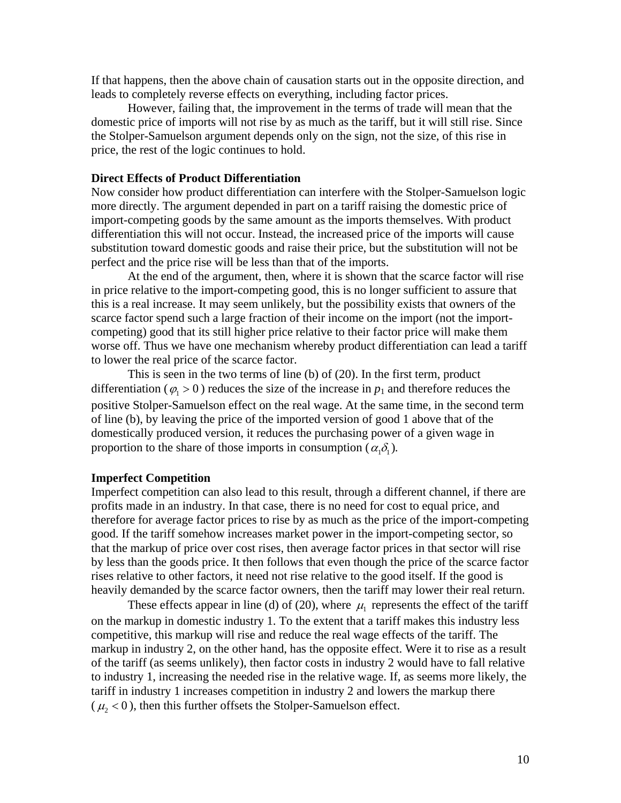If that happens, then the above chain of causation starts out in the opposite direction, and leads to completely reverse effects on everything, including factor prices.

However, failing that, the improvement in the terms of trade will mean that the domestic price of imports will not rise by as much as the tariff, but it will still rise. Since the Stolper-Samuelson argument depends only on the sign, not the size, of this rise in price, the rest of the logic continues to hold.

#### **Direct Effects of Product Differentiation**

Now consider how product differentiation can interfere with the Stolper-Samuelson logic more directly. The argument depended in part on a tariff raising the domestic price of import-competing goods by the same amount as the imports themselves. With product differentiation this will not occur. Instead, the increased price of the imports will cause substitution toward domestic goods and raise their price, but the substitution will not be perfect and the price rise will be less than that of the imports.

At the end of the argument, then, where it is shown that the scarce factor will rise in price relative to the import-competing good, this is no longer sufficient to assure that this is a real increase. It may seem unlikely, but the possibility exists that owners of the scarce factor spend such a large fraction of their income on the import (not the importcompeting) good that its still higher price relative to their factor price will make them worse off. Thus we have one mechanism whereby product differentiation can lead a tariff to lower the real price of the scarce factor.

This is seen in the two terms of line (b) of (20). In the first term, product differentiation ( $\varphi_1 > 0$ ) reduces the size of the increase in  $p_1$  and therefore reduces the positive Stolper-Samuelson effect on the real wage. At the same time, in the second term of line (b), by leaving the price of the imported version of good 1 above that of the domestically produced version, it reduces the purchasing power of a given wage in proportion to the share of those imports in consumption  $(\alpha_1 \delta_1)$ .

#### **Imperfect Competition**

Imperfect competition can also lead to this result, through a different channel, if there are profits made in an industry. In that case, there is no need for cost to equal price, and therefore for average factor prices to rise by as much as the price of the import-competing good. If the tariff somehow increases market power in the import-competing sector, so that the markup of price over cost rises, then average factor prices in that sector will rise by less than the goods price. It then follows that even though the price of the scarce factor rises relative to other factors, it need not rise relative to the good itself. If the good is heavily demanded by the scarce factor owners, then the tariff may lower their real return.

These effects appear in line (d) of (20), where  $\mu_1$  represents the effect of the tariff on the markup in domestic industry 1. To the extent that a tariff makes this industry less competitive, this markup will rise and reduce the real wage effects of the tariff. The markup in industry 2, on the other hand, has the opposite effect. Were it to rise as a result of the tariff (as seems unlikely), then factor costs in industry 2 would have to fall relative to industry 1, increasing the needed rise in the relative wage. If, as seems more likely, the tariff in industry 1 increases competition in industry 2 and lowers the markup there  $(\mu, < 0)$ , then this further offsets the Stolper-Samuelson effect.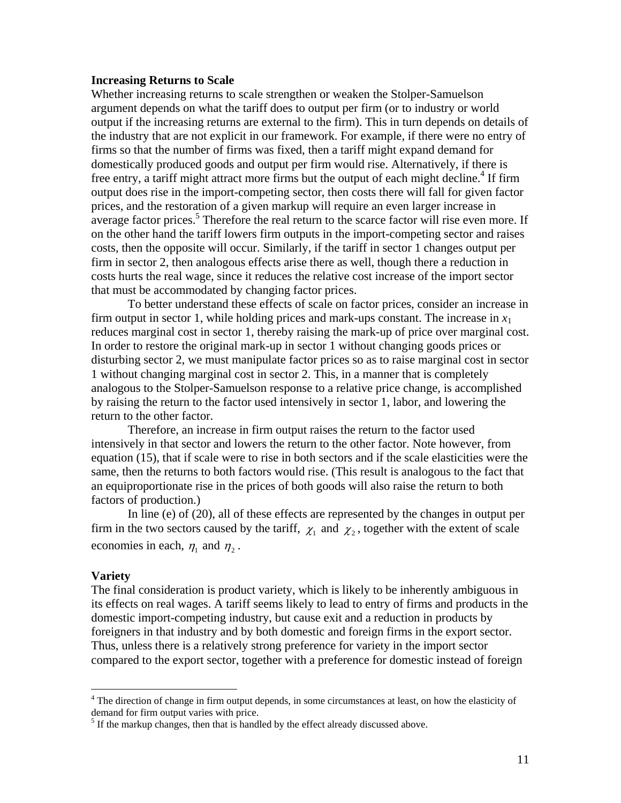#### **Increasing Returns to Scale**

Whether increasing returns to scale strengthen or weaken the Stolper-Samuelson argument depends on what the tariff does to output per firm (or to industry or world output if the increasing returns are external to the firm). This in turn depends on details of the industry that are not explicit in our framework. For example, if there were no entry of firms so that the number of firms was fixed, then a tariff might expand demand for domestically produced goods and output per firm would rise. Alternatively, if there is free entry, a tariff might attract more firms but the output of each might decline.<sup>[4](#page-11-0)</sup> If firm output does rise in the import-competing sector, then costs there will fall for given factor prices, and the restoration of a given markup will require an even larger increase in average factor prices.<sup>[5](#page-11-1)</sup> Therefore the real return to the scarce factor will rise even more. If on the other hand the tariff lowers firm outputs in the import-competing sector and raises costs, then the opposite will occur. Similarly, if the tariff in sector 1 changes output per firm in sector 2, then analogous effects arise there as well, though there a reduction in costs hurts the real wage, since it reduces the relative cost increase of the import sector that must be accommodated by changing factor prices.

To better understand these effects of scale on factor prices, consider an increase in firm output in sector 1, while holding prices and mark-ups constant. The increase in  $x_1$ reduces marginal cost in sector 1, thereby raising the mark-up of price over marginal cost. In order to restore the original mark-up in sector 1 without changing goods prices or disturbing sector 2, we must manipulate factor prices so as to raise marginal cost in sector 1 without changing marginal cost in sector 2. This, in a manner that is completely analogous to the Stolper-Samuelson response to a relative price change, is accomplished by raising the return to the factor used intensively in sector 1, labor, and lowering the return to the other factor.

Therefore, an increase in firm output raises the return to the factor used intensively in that sector and lowers the return to the other factor. Note however, from equation (15), that if scale were to rise in both sectors and if the scale elasticities were the same, then the returns to both factors would rise. (This result is analogous to the fact that an equiproportionate rise in the prices of both goods will also raise the return to both factors of production.)

In line (e) of (20), all of these effects are represented by the changes in output per firm in the two sectors caused by the tariff,  $\chi_1$  and  $\chi_2$ , together with the extent of scale economies in each,  $\eta_1$  and  $\eta_2$ .

#### **Variety**

The final consideration is product variety, which is likely to be inherently ambiguous in its effects on real wages. A tariff seems likely to lead to entry of firms and products in the domestic import-competing industry, but cause exit and a reduction in products by foreigners in that industry and by both domestic and foreign firms in the export sector. Thus, unless there is a relatively strong preference for variety in the import sector compared to the export sector, together with a preference for domestic instead of foreign

<span id="page-11-0"></span> $\frac{1}{4}$ <sup>4</sup> The direction of change in firm output depends, in some circumstances at least, on how the elasticity of demand for firm output varies with price.

<span id="page-11-1"></span> $<sup>5</sup>$  If the markup changes, then that is handled by the effect already discussed above.</sup>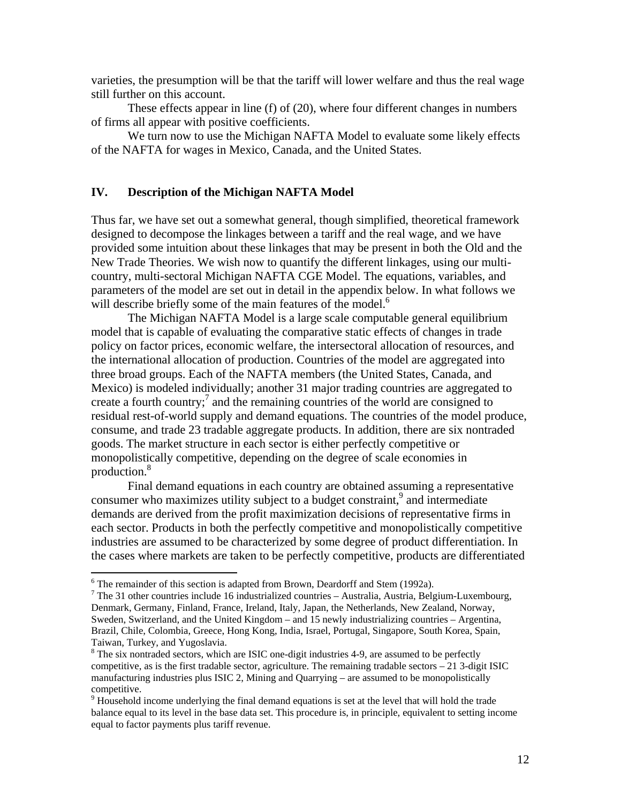varieties, the presumption will be that the tariff will lower welfare and thus the real wage still further on this account.

These effects appear in line (f) of (20), where four different changes in numbers of firms all appear with positive coefficients.

We turn now to use the Michigan NAFTA Model to evaluate some likely effects of the NAFTA for wages in Mexico, Canada, and the United States.

### **IV. Description of the Michigan NAFTA Model**

Thus far, we have set out a somewhat general, though simplified, theoretical framework designed to decompose the linkages between a tariff and the real wage, and we have provided some intuition about these linkages that may be present in both the Old and the New Trade Theories. We wish now to quantify the different linkages, using our multicountry, multi-sectoral Michigan NAFTA CGE Model. The equations, variables, and parameters of the model are set out in detail in the appendix below. In what follows we will describe briefly some of the main features of the model.<sup>6</sup>

The Michigan NAFTA Model is a large scale computable general equilibrium model that is capable of evaluating the comparative static effects of changes in trade policy on factor prices, economic welfare, the intersectoral allocation of resources, and the international allocation of production. Countries of the model are aggregated into three broad groups. Each of the NAFTA members (the United States, Canada, and Mexico) is modeled individually; another 31 major trading countries are aggregated to create a fourth country;<sup>[7](#page-12-1)</sup> and the remaining countries of the world are consigned to residual rest-of-world supply and demand equations. The countries of the model produce, consume, and trade 23 tradable aggregate products. In addition, there are six nontraded goods. The market structure in each sector is either perfectly competitive or monopolistically competitive, depending on the degree of scale economies in production.<sup>8</sup>

Final demand equations in each country are obtained assuming a representative consumer who maximizes utility subject to a budget constraint,<sup>[9](#page-12-3)</sup> and intermediate demands are derived from the profit maximization decisions of representative firms in each sector. Products in both the perfectly competitive and monopolistically competitive industries are assumed to be characterized by some degree of product differentiation. In the cases where markets are taken to be perfectly competitive, products are differentiated

<span id="page-12-0"></span> $\frac{1}{6}$  $6$  The remainder of this section is adapted from Brown, Deardorff and Stem (1992a).

<span id="page-12-1"></span> $\frac{7}{7}$  The 31 other countries include 16 industrialized countries – Australia, Austria, Belgium-Luxembourg, Denmark, Germany, Finland, France, Ireland, Italy, Japan, the Netherlands, New Zealand, Norway, Sweden, Switzerland, and the United Kingdom – and 15 newly industrializing countries – Argentina, Brazil, Chile, Colombia, Greece, Hong Kong, India, Israel, Portugal, Singapore, South Korea, Spain, Taiwan, Turkey, and Yugoslavia. 8

<span id="page-12-2"></span> $8$  The six nontraded sectors, which are ISIC one-digit industries 4-9, are assumed to be perfectly competitive, as is the first tradable sector, agriculture. The remaining tradable sectors  $-21$  3-digit ISIC manufacturing industries plus ISIC 2, Mining and Quarrying – are assumed to be monopolistically competitive.

<span id="page-12-3"></span> $9$  Household income underlying the final demand equations is set at the level that will hold the trade balance equal to its level in the base data set. This procedure is, in principle, equivalent to setting income equal to factor payments plus tariff revenue.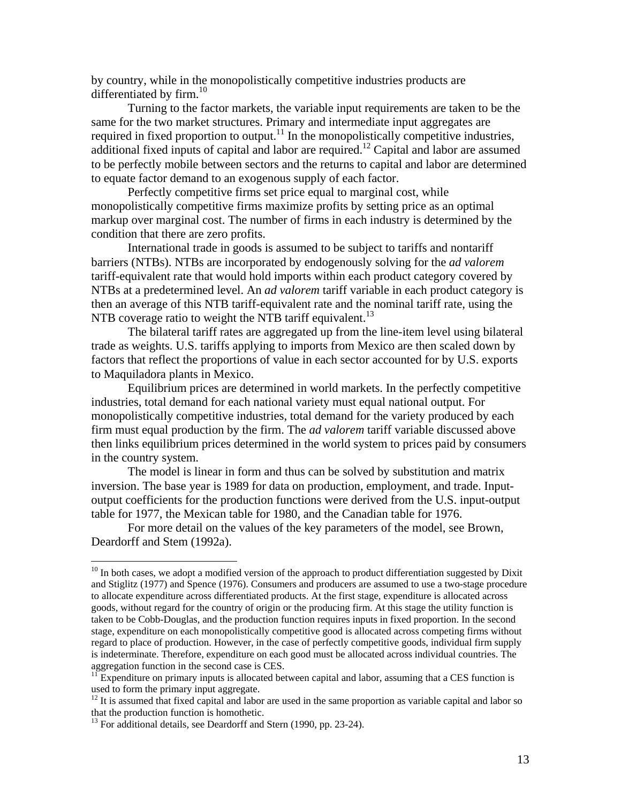by country, while in the monopolistically competitive industries products are differentiated by firm.<sup>[10](#page-13-0)</sup>

Turning to the factor markets, the variable input requirements are taken to be the same for the two market structures. Primary and intermediate input aggregates are required in fixed proportion to output.<sup>11</sup> In the monopolistically competitive industries, additional fixed inputs of capital and labor are required.<sup>12</sup> Capital and labor are assumed to be perfectly mobile between sectors and the returns to capital and labor are determined to equate factor demand to an exogenous supply of each factor.

Perfectly competitive firms set price equal to marginal cost, while monopolistically competitive firms maximize profits by setting price as an optimal markup over marginal cost. The number of firms in each industry is determined by the condition that there are zero profits.

International trade in goods is assumed to be subject to tariffs and nontariff barriers (NTBs). NTBs are incorporated by endogenously solving for the *ad valorem*  tariff-equivalent rate that would hold imports within each product category covered by NTBs at a predetermined level. An *ad valorem* tariff variable in each product category is then an average of this NTB tariff-equivalent rate and the nominal tariff rate, using the NTB coverage ratio to weight the NTB tariff equivalent.<sup>[13](#page-13-3)</sup>

The bilateral tariff rates are aggregated up from the line-item level using bilateral trade as weights. U.S. tariffs applying to imports from Mexico are then scaled down by factors that reflect the proportions of value in each sector accounted for by U.S. exports to Maquiladora plants in Mexico.

Equilibrium prices are determined in world markets. In the perfectly competitive industries, total demand for each national variety must equal national output. For monopolistically competitive industries, total demand for the variety produced by each firm must equal production by the firm. The *ad valorem* tariff variable discussed above then links equilibrium prices determined in the world system to prices paid by consumers in the country system.

The model is linear in form and thus can be solved by substitution and matrix inversion. The base year is 1989 for data on production, employment, and trade. Inputoutput coefficients for the production functions were derived from the U.S. input-output table for 1977, the Mexican table for 1980, and the Canadian table for 1976.

For more detail on the values of the key parameters of the model, see Brown, Deardorff and Stem (1992a).

<span id="page-13-0"></span> $10$  In both cases, we adopt a modified version of the approach to product differentiation suggested by Dixit and Stiglitz (1977) and Spence (1976). Consumers and producers are assumed to use a two-stage procedure to allocate expenditure across differentiated products. At the first stage, expenditure is allocated across goods, without regard for the country of origin or the producing firm. At this stage the utility function is taken to be Cobb-Douglas, and the production function requires inputs in fixed proportion. In the second stage, expenditure on each monopolistically competitive good is allocated across competing firms without regard to place of production. However, in the case of perfectly competitive goods, individual firm supply is indeterminate. Therefore, expenditure on each good must be allocated across individual countries. The

<span id="page-13-1"></span>aggregation function in the second case is CES.<br><sup>11</sup> Expenditure on primary inputs is allocated between capital and labor, assuming that a CES function is used to form the primary input aggregate.

<span id="page-13-2"></span> $12$  It is assumed that fixed capital and labor are used in the same proportion as variable capital and labor so that the production function is homothetic.

<span id="page-13-3"></span> $13$  For additional details, see Deardorff and Stern (1990, pp. 23-24).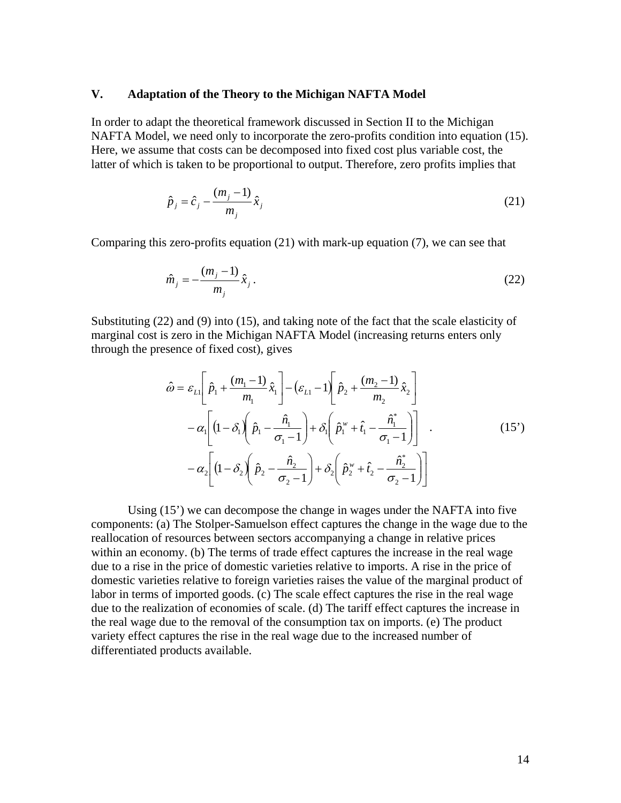#### **V. Adaptation of the Theory to the Michigan NAFTA Model**

In order to adapt the theoretical framework discussed in Section II to the Michigan NAFTA Model, we need only to incorporate the zero-profits condition into equation (15). Here, we assume that costs can be decomposed into fixed cost plus variable cost, the latter of which is taken to be proportional to output. Therefore, zero profits implies that

$$
\hat{p}_j = \hat{c}_j - \frac{(m_j - 1)}{m_j} \hat{x}_j
$$
\n(21)

Comparing this zero-profits equation (21) with mark-up equation (7), we can see that

$$
\hat{m}_j = -\frac{(m_j - 1)}{m_j} \hat{x}_j.
$$
\n(22)

Substituting (22) and (9) into (15), and taking note of the fact that the scale elasticity of marginal cost is zero in the Michigan NAFTA Model (increasing returns enters only through the presence of fixed cost), gives

$$
\hat{\omega} = \varepsilon_{L1} \left[ \hat{p}_1 + \frac{(m_1 - 1)}{m_1} \hat{x}_1 \right] - \left( \varepsilon_{L1} - 1 \right) \left[ \hat{p}_2 + \frac{(m_2 - 1)}{m_2} \hat{x}_2 \right] \n- \alpha_1 \left[ \left( 1 - \delta_1 \right) \left( \hat{p}_1 - \frac{\hat{n}_1}{\sigma_1 - 1} \right) + \delta_1 \left( \hat{p}_1^{\{ \}\}} + \hat{t}_1 - \frac{\hat{n}_1^*}{\sigma_1 - 1} \right) \right] .
$$
\n
$$
- \alpha_2 \left[ \left( 1 - \delta_2 \right) \left( \hat{p}_2 - \frac{\hat{n}_2}{\sigma_2 - 1} \right) + \delta_2 \left( \hat{p}_2^{\{ \}\}} + \hat{t}_2 - \frac{\hat{n}_2^*}{\sigma_2 - 1} \right) \right]
$$
\n(15')

Using (15') we can decompose the change in wages under the NAFTA into five components: (a) The Stolper-Samuelson effect captures the change in the wage due to the reallocation of resources between sectors accompanying a change in relative prices within an economy. (b) The terms of trade effect captures the increase in the real wage due to a rise in the price of domestic varieties relative to imports. A rise in the price of domestic varieties relative to foreign varieties raises the value of the marginal product of labor in terms of imported goods. (c) The scale effect captures the rise in the real wage due to the realization of economies of scale. (d) The tariff effect captures the increase in the real wage due to the removal of the consumption tax on imports. (e) The product variety effect captures the rise in the real wage due to the increased number of differentiated products available.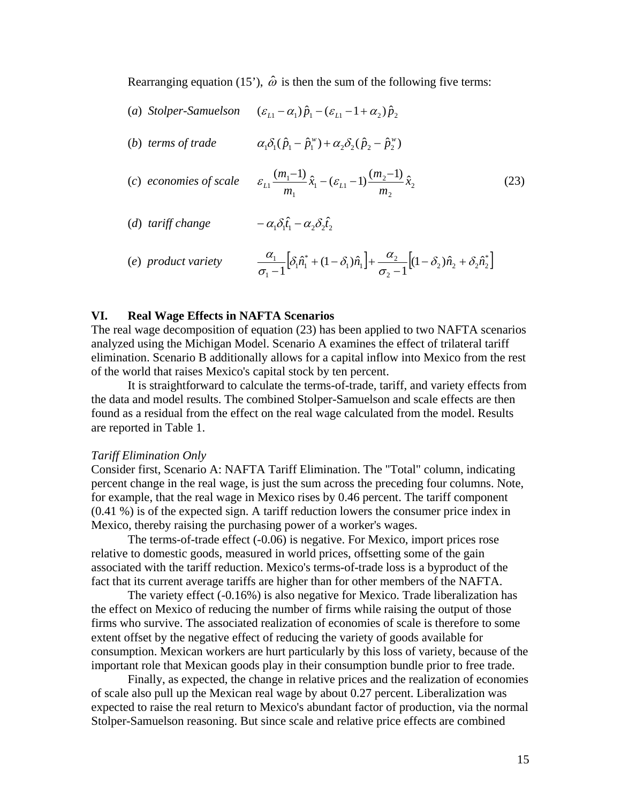Rearranging equation (15'),  $\hat{\omega}$  is then the sum of the following five terms:

- (*a*) *Stolper-Samuelson*  $(\varepsilon_{11} \alpha_1) \hat{p}_1 (\varepsilon_{11} 1 + \alpha_2) \hat{p}_2$
- (*b*) *terms of trade*  $\alpha_1 \delta_1 (\hat{p}_1 \hat{p}_1^w) + \alpha_2 \delta_2 (\hat{p}_2 \hat{p}_2^w)$
- (*c*) *economies of scale*  $\varepsilon_{L1} \frac{(m_1-1)}{m_1} \hat{x}_1 (\varepsilon_{L1}-1) \frac{(m_2-1)}{m_2} \hat{x}_2$ 2  $\epsilon_1^2 - (\varepsilon_{L1}^2 - 1) \frac{(m_2^2 - m_1^2)}{m_1^2}$ 1  $\hat{x}_1 \frac{(m_1-1)}{(m_1-1)} \hat{x}_1 - (\varepsilon_{L1}-1) \frac{(m_2-1)}{(m_2-1)} \hat{x}_2$ *m*  $\hat{x}_1 - (\varepsilon_{11} - 1)$  $\frac{(m}{n}$ *m m*  $\varepsilon_{L1} \frac{(m_1 - 1)}{m} \hat{x}_1 - (\varepsilon_{L1} - 1) \frac{(m_2 - 1)}{m} \hat{x}_2$ (23)
- (*d*) *tariff* change  $\hat{t}_1 - \alpha_2 \delta_2 \hat{t}_2$
- (e) product variety  $\frac{a_1}{a_1} \Big[ \delta_1 \hat{n}_1^* + (1 \delta_1) \hat{n}_1 \Big] + \frac{a_2}{a_1} \Big[ (1 \delta_2) \hat{n}_2 + \delta_2 \hat{n}_2^* \Big]$ 2  $\hat{n}_1 \hat{n}_1 + \frac{a_2}{a_1}$ \*  $1^{\prime}$ <sup>1</sup>  $\frac{\alpha_1}{\alpha_1-1} [\delta_1 \hat{n}_1^* + (1-\delta_1)\hat{n}_1] + \frac{\alpha_2}{\sigma_2-1} [(1-\delta_2)\hat{n}_2 + \delta_2 \hat{n}_1]$  $\delta \hat{n}^* + (1 - \delta) \hat{n}$ ,  $\Big] + \frac{\alpha}{\epsilon}$  $\frac{\alpha_1}{\sigma_1-1} \Big[ \delta_1 \hat{n}_1^* + (1-\delta_1)\hat{n}_1 \Big] + \frac{\alpha_2}{\sigma_2-1} \Big[ (1-\delta_2)\hat{n}_2 +$

#### **VI. Real Wage Effects in NAFTA Scenarios**

The real wage decomposition of equation (23) has been applied to two NAFTA scenarios analyzed using the Michigan Model. Scenario A examines the effect of trilateral tariff elimination. Scenario B additionally allows for a capital inflow into Mexico from the rest of the world that raises Mexico's capital stock by ten percent.

It is straightforward to calculate the terms-of-trade, tariff, and variety effects from the data and model results. The combined Stolper-Samuelson and scale effects are then found as a residual from the effect on the real wage calculated from the model. Results are reported in Table 1.

#### *Tariff Elimination Only*

Consider first, Scenario A: NAFTA Tariff Elimination. The "Total" column, indicating percent change in the real wage, is just the sum across the preceding four columns. Note, for example, that the real wage in Mexico rises by 0.46 percent. The tariff component (0.41 %) is of the expected sign. A tariff reduction lowers the consumer price index in Mexico, thereby raising the purchasing power of a worker's wages.

The terms-of-trade effect (-0.06) is negative. For Mexico, import prices rose relative to domestic goods, measured in world prices, offsetting some of the gain associated with the tariff reduction. Mexico's terms-of-trade loss is a byproduct of the fact that its current average tariffs are higher than for other members of the NAFTA.

The variety effect (-0.16%) is also negative for Mexico. Trade liberalization has the effect on Mexico of reducing the number of firms while raising the output of those firms who survive. The associated realization of economies of scale is therefore to some extent offset by the negative effect of reducing the variety of goods available for consumption. Mexican workers are hurt particularly by this loss of variety, because of the important role that Mexican goods play in their consumption bundle prior to free trade.

Finally, as expected, the change in relative prices and the realization of economies of scale also pull up the Mexican real wage by about 0.27 percent. Liberalization was expected to raise the real return to Mexico's abundant factor of production, via the normal Stolper-Samuelson reasoning. But since scale and relative price effects are combined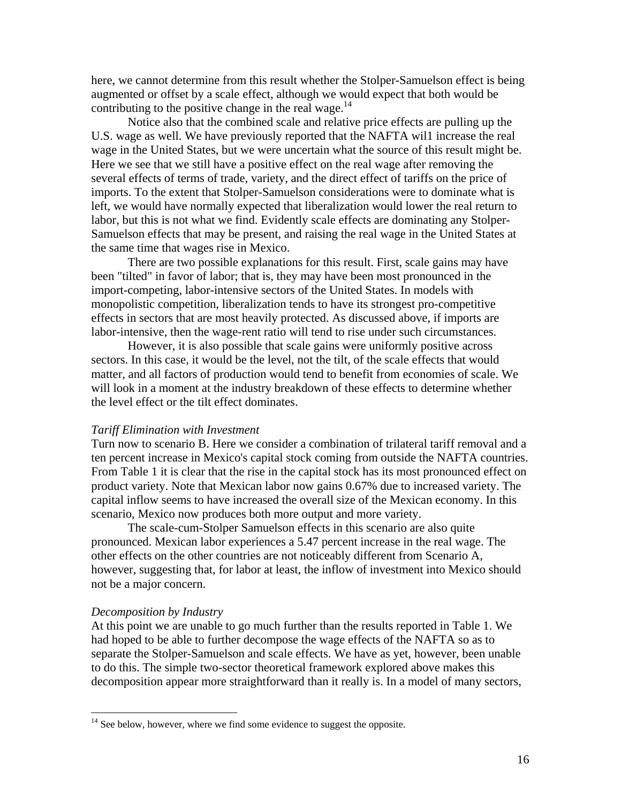here, we cannot determine from this result whether the Stolper-Samuelson effect is being augmented or offset by a scale effect, although we would expect that both would be contributing to the positive change in the real wage.<sup>[14](#page-16-0)</sup>

Notice also that the combined scale and relative price effects are pulling up the U.S. wage as well. We have previously reported that the NAFTA wil1 increase the real wage in the United States, but we were uncertain what the source of this result might be. Here we see that we still have a positive effect on the real wage after removing the several effects of terms of trade, variety, and the direct effect of tariffs on the price of imports. To the extent that Stolper-Samuelson considerations were to dominate what is left, we would have normally expected that liberalization would lower the real return to labor, but this is not what we find. Evidently scale effects are dominating any Stolper-Samuelson effects that may be present, and raising the real wage in the United States at the same time that wages rise in Mexico.

There are two possible explanations for this result. First, scale gains may have been "tilted" in favor of labor; that is, they may have been most pronounced in the import-competing, labor-intensive sectors of the United States. In models with monopolistic competition, liberalization tends to have its strongest pro-competitive effects in sectors that are most heavily protected. As discussed above, if imports are labor-intensive, then the wage-rent ratio will tend to rise under such circumstances.

However, it is also possible that scale gains were uniformly positive across sectors. In this case, it would be the level, not the tilt, of the scale effects that would matter, and all factors of production would tend to benefit from economies of scale. We will look in a moment at the industry breakdown of these effects to determine whether the level effect or the tilt effect dominates.

#### *Tariff Elimination with Investment*

Turn now to scenario B. Here we consider a combination of trilateral tariff removal and a ten percent increase in Mexico's capital stock coming from outside the NAFTA countries. From Table 1 it is clear that the rise in the capital stock has its most pronounced effect on product variety. Note that Mexican labor now gains 0.67% due to increased variety. The capital inflow seems to have increased the overall size of the Mexican economy. In this scenario, Mexico now produces both more output and more variety.

The scale-cum-Stolper Samuelson effects in this scenario are also quite pronounced. Mexican labor experiences a 5.47 percent increase in the real wage. The other effects on the other countries are not noticeably different from Scenario A, however, suggesting that, for labor at least, the inflow of investment into Mexico should not be a major concern.

#### *Decomposition by Industry*

At this point we are unable to go much further than the results reported in Table 1. We had hoped to be able to further decompose the wage effects of the NAFTA so as to separate the Stolper-Samuelson and scale effects. We have as yet, however, been unable to do this. The simple two-sector theoretical framework explored above makes this decomposition appear more straightforward than it really is. In a model of many sectors,

<span id="page-16-0"></span> $14$  See below, however, where we find some evidence to suggest the opposite.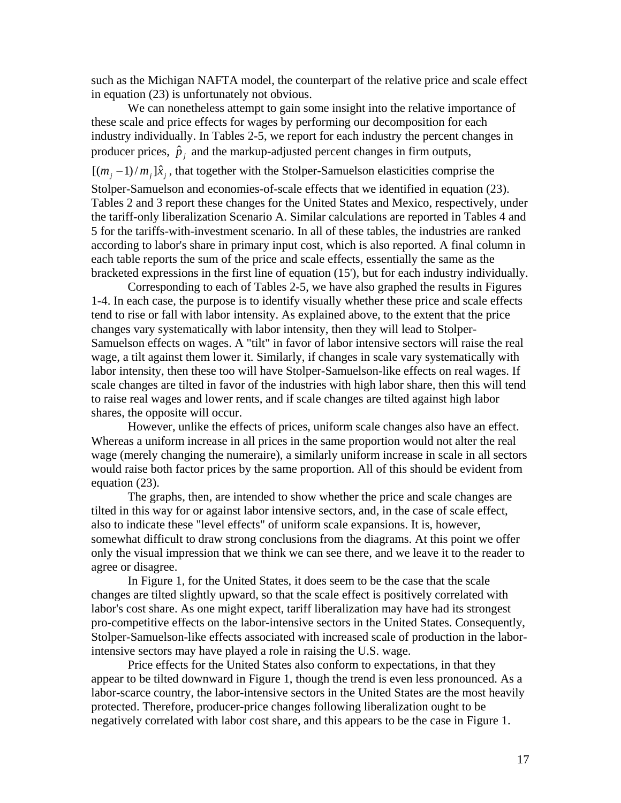such as the Michigan NAFTA model, the counterpart of the relative price and scale effect in equation (23) is unfortunately not obvious.

We can nonetheless attempt to gain some insight into the relative importance of these scale and price effects for wages by performing our decomposition for each industry individually. In Tables 2-5, we report for each industry the percent changes in producer prices,  $\hat{p}_j$  and the markup-adjusted percent changes in firm outputs,

 $[(m_j - 1)/m_j]\hat{x}_j$ , that together with the Stolper-Samuelson elasticities comprise the

Stolper-Samuelson and economies-of-scale effects that we identified in equation (23). Tables 2 and 3 report these changes for the United States and Mexico, respectively, under the tariff-only liberalization Scenario A. Similar calculations are reported in Tables 4 and 5 for the tariffs-with-investment scenario. In all of these tables, the industries are ranked according to labor's share in primary input cost, which is also reported. A final column in each table reports the sum of the price and scale effects, essentially the same as the bracketed expressions in the first line of equation (15'), but for each industry individually.

Corresponding to each of Tables 2-5, we have also graphed the results in Figures 1-4. In each case, the purpose is to identify visually whether these price and scale effects tend to rise or fall with labor intensity. As explained above, to the extent that the price changes vary systematically with labor intensity, then they will lead to Stolper-Samuelson effects on wages. A "tilt" in favor of labor intensive sectors will raise the real wage, a tilt against them lower it. Similarly, if changes in scale vary systematically with labor intensity, then these too will have Stolper-Samuelson-like effects on real wages. If scale changes are tilted in favor of the industries with high labor share, then this will tend to raise real wages and lower rents, and if scale changes are tilted against high labor shares, the opposite will occur.

However, unlike the effects of prices, uniform scale changes also have an effect. Whereas a uniform increase in all prices in the same proportion would not alter the real wage (merely changing the numeraire), a similarly uniform increase in scale in all sectors would raise both factor prices by the same proportion. All of this should be evident from equation (23).

The graphs, then, are intended to show whether the price and scale changes are tilted in this way for or against labor intensive sectors, and, in the case of scale effect, also to indicate these "level effects" of uniform scale expansions. It is, however, somewhat difficult to draw strong conclusions from the diagrams. At this point we offer only the visual impression that we think we can see there, and we leave it to the reader to agree or disagree.

In Figure 1, for the United States, it does seem to be the case that the scale changes are tilted slightly upward, so that the scale effect is positively correlated with labor's cost share. As one might expect, tariff liberalization may have had its strongest pro-competitive effects on the labor-intensive sectors in the United States. Consequently, Stolper-Samuelson-like effects associated with increased scale of production in the laborintensive sectors may have played a role in raising the U.S. wage.

Price effects for the United States also conform to expectations, in that they appear to be tilted downward in Figure 1, though the trend is even less pronounced. As a labor-scarce country, the labor-intensive sectors in the United States are the most heavily protected. Therefore, producer-price changes following liberalization ought to be negatively correlated with labor cost share, and this appears to be the case in Figure 1.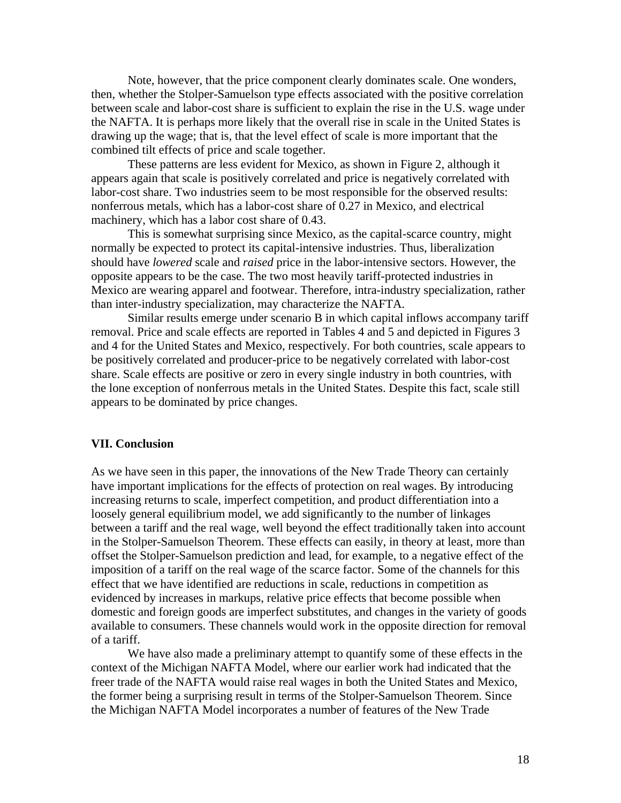Note, however, that the price component clearly dominates scale. One wonders, then, whether the Stolper-Samuelson type effects associated with the positive correlation between scale and labor-cost share is sufficient to explain the rise in the U.S. wage under the NAFTA. It is perhaps more likely that the overall rise in scale in the United States is drawing up the wage; that is, that the level effect of scale is more important that the combined tilt effects of price and scale together.

These patterns are less evident for Mexico, as shown in Figure 2, although it appears again that scale is positively correlated and price is negatively correlated with labor-cost share. Two industries seem to be most responsible for the observed results: nonferrous metals, which has a labor-cost share of 0.27 in Mexico, and electrical machinery, which has a labor cost share of 0.43.

This is somewhat surprising since Mexico, as the capital-scarce country, might normally be expected to protect its capital-intensive industries. Thus, liberalization should have *lowered* scale and *raised* price in the labor-intensive sectors. However, the opposite appears to be the case. The two most heavily tariff-protected industries in Mexico are wearing apparel and footwear. Therefore, intra-industry specialization, rather than inter-industry specialization, may characterize the NAFTA.

Similar results emerge under scenario B in which capital inflows accompany tariff removal. Price and scale effects are reported in Tables 4 and 5 and depicted in Figures 3 and 4 for the United States and Mexico, respectively. For both countries, scale appears to be positively correlated and producer-price to be negatively correlated with labor-cost share. Scale effects are positive or zero in every single industry in both countries, with the lone exception of nonferrous metals in the United States. Despite this fact, scale still appears to be dominated by price changes.

#### **VII. Conclusion**

As we have seen in this paper, the innovations of the New Trade Theory can certainly have important implications for the effects of protection on real wages. By introducing increasing returns to scale, imperfect competition, and product differentiation into a loosely general equilibrium model, we add significantly to the number of linkages between a tariff and the real wage, well beyond the effect traditionally taken into account in the Stolper-Samuelson Theorem. These effects can easily, in theory at least, more than offset the Stolper-Samuelson prediction and lead, for example, to a negative effect of the imposition of a tariff on the real wage of the scarce factor. Some of the channels for this effect that we have identified are reductions in scale, reductions in competition as evidenced by increases in markups, relative price effects that become possible when domestic and foreign goods are imperfect substitutes, and changes in the variety of goods available to consumers. These channels would work in the opposite direction for removal of a tariff.

We have also made a preliminary attempt to quantify some of these effects in the context of the Michigan NAFTA Model, where our earlier work had indicated that the freer trade of the NAFTA would raise real wages in both the United States and Mexico, the former being a surprising result in terms of the Stolper-Samuelson Theorem. Since the Michigan NAFTA Model incorporates a number of features of the New Trade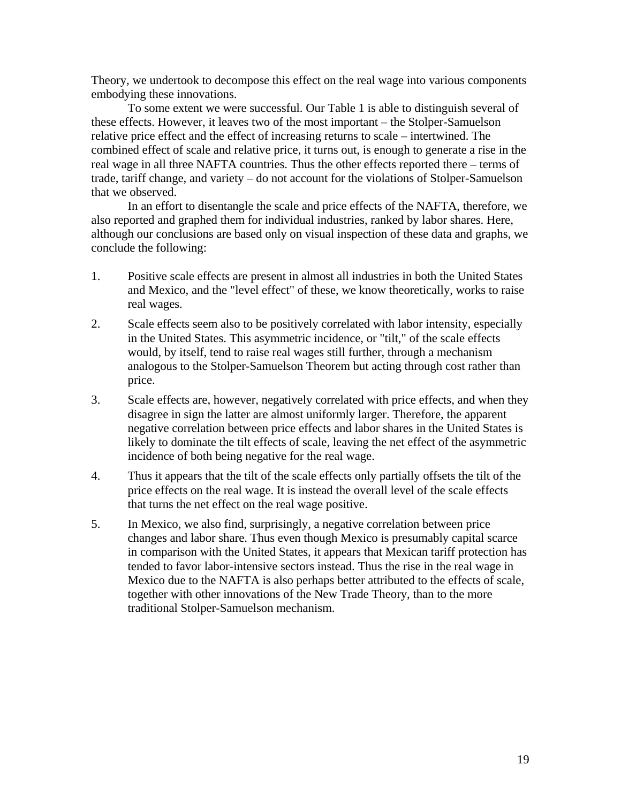Theory, we undertook to decompose this effect on the real wage into various components embodying these innovations.

To some extent we were successful. Our Table 1 is able to distinguish several of these effects. However, it leaves two of the most important – the Stolper-Samuelson relative price effect and the effect of increasing returns to scale – intertwined. The combined effect of scale and relative price, it turns out, is enough to generate a rise in the real wage in all three NAFTA countries. Thus the other effects reported there – terms of trade, tariff change, and variety – do not account for the violations of Stolper-Samuelson that we observed.

In an effort to disentangle the scale and price effects of the NAFTA, therefore, we also reported and graphed them for individual industries, ranked by labor shares. Here, although our conclusions are based only on visual inspection of these data and graphs, we conclude the following:

- 1. Positive scale effects are present in almost all industries in both the United States and Mexico, and the "level effect" of these, we know theoretically, works to raise real wages.
- 2. Scale effects seem also to be positively correlated with labor intensity, especially in the United States. This asymmetric incidence, or "tilt," of the scale effects would, by itself, tend to raise real wages still further, through a mechanism analogous to the Stolper-Samuelson Theorem but acting through cost rather than price.
- 3. Scale effects are, however, negatively correlated with price effects, and when they disagree in sign the latter are almost uniformly larger. Therefore, the apparent negative correlation between price effects and labor shares in the United States is likely to dominate the tilt effects of scale, leaving the net effect of the asymmetric incidence of both being negative for the real wage.
- 4. Thus it appears that the tilt of the scale effects only partially offsets the tilt of the price effects on the real wage. It is instead the overall level of the scale effects that turns the net effect on the real wage positive.
- 5. In Mexico, we also find, surprisingly, a negative correlation between price changes and labor share. Thus even though Mexico is presumably capital scarce in comparison with the United States, it appears that Mexican tariff protection has tended to favor labor-intensive sectors instead. Thus the rise in the real wage in Mexico due to the NAFTA is also perhaps better attributed to the effects of scale, together with other innovations of the New Trade Theory, than to the more traditional Stolper-Samuelson mechanism.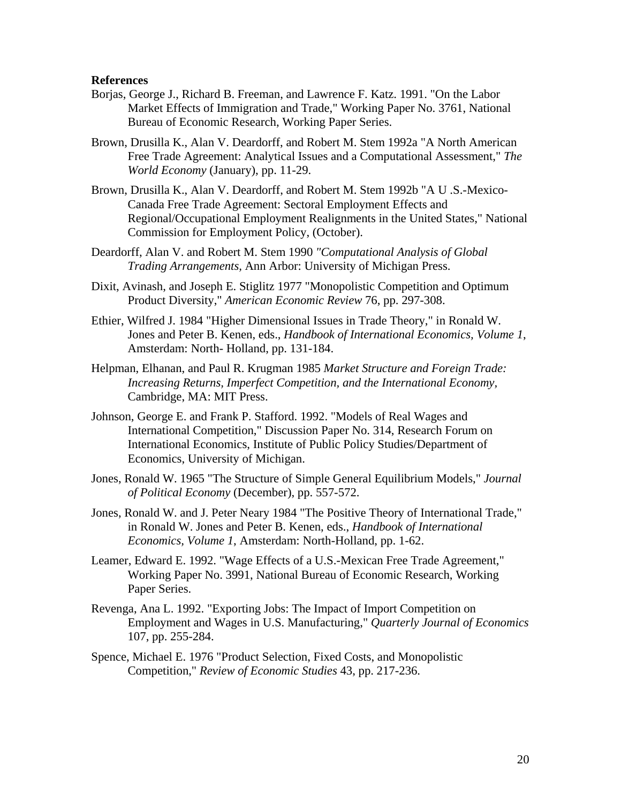#### **References**

- Borjas, George J., Richard B. Freeman, and Lawrence F. Katz. 1991. "On the Labor Market Effects of Immigration and Trade," Working Paper No. 3761, National Bureau of Economic Research, Working Paper Series.
- Brown, Drusilla K., Alan V. Deardorff, and Robert M. Stem 1992a "A North American Free Trade Agreement: Analytical Issues and a Computational Assessment," *The World Economy* (January), pp. 11-29.
- Brown, Drusilla K., Alan V. Deardorff, and Robert M. Stem 1992b "A U .S.-Mexico-Canada Free Trade Agreement: Sectoral Employment Effects and Regional/Occupational Employment Realignments in the United States," National Commission for Employment Policy, (October).
- Deardorff, Alan V. and Robert M. Stem 1990 *"Computational Analysis of Global Trading Arrangements,* Ann Arbor: University of Michigan Press.
- Dixit, Avinash, and Joseph E. Stiglitz 1977 "Monopolistic Competition and Optimum Product Diversity," *American Economic Review* 76, pp. 297-308.
- Ethier, Wilfred J. 1984 "Higher Dimensional Issues in Trade Theory," in Ronald W. Jones and Peter B. Kenen, eds., *Handbook of International Economics, Volume 1*, Amsterdam: North- Holland, pp. 131-184.
- Helpman, Elhanan, and Paul R. Krugman 1985 *Market Structure and Foreign Trade: Increasing Returns, Imperfect Competition, and the International Economy,*  Cambridge, MA: MIT Press.
- Johnson, George E. and Frank P. Stafford. 1992. "Models of Real Wages and International Competition," Discussion Paper No. 314, Research Forum on International Economics, Institute of Public Policy Studies/Department of Economics, University of Michigan.
- Jones, Ronald W. 1965 "The Structure of Simple General Equilibrium Models," *Journal of Political Economy* (December), pp. 557-572.
- Jones, Ronald W. and J. Peter Neary 1984 "The Positive Theory of International Trade," in Ronald W. Jones and Peter B. Kenen, eds., *Handbook of International Economics, Volume 1*, Amsterdam: North-Holland, pp. 1-62.
- Leamer, Edward E. 1992. "Wage Effects of a U.S.-Mexican Free Trade Agreement," Working Paper No. 3991, National Bureau of Economic Research, Working Paper Series.
- Revenga, Ana L. 1992. "Exporting Jobs: The Impact of Import Competition on Employment and Wages in U.S. Manufacturing," *Quarterly Journal of Economics*  107, pp. 255-284.
- Spence, Michael E. 1976 "Product Selection, Fixed Costs, and Monopolistic Competition," *Review of Economic Studies* 43, pp. 217-236.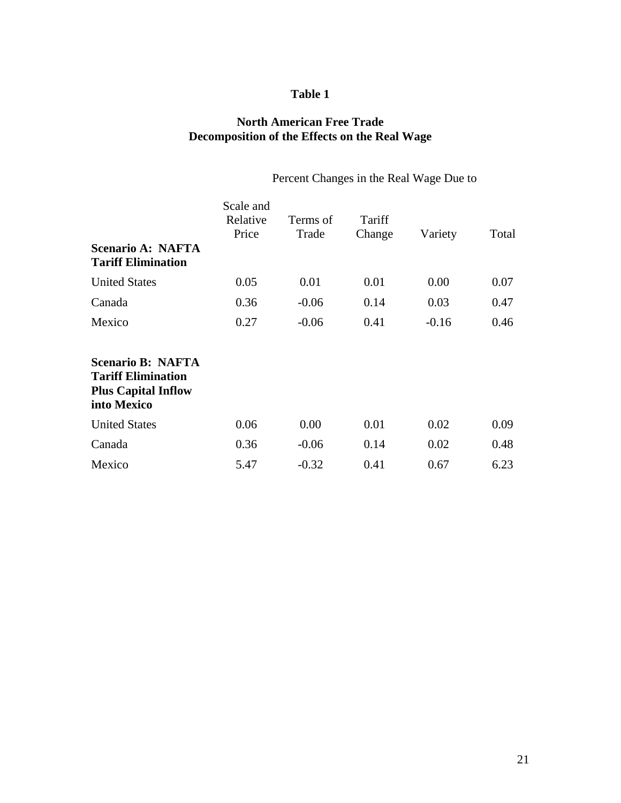# **Table 1**

# **North American Free Trade Decomposition of the Effects on the Real Wage**

# Percent Changes in the Real Wage Due to

| <b>Scenario A: NAFTA</b><br><b>Tariff Elimination</b>                                              | Scale and<br>Relative<br>Price | Terms of<br>Trade | Tariff<br>Change | Variety | Total |
|----------------------------------------------------------------------------------------------------|--------------------------------|-------------------|------------------|---------|-------|
| <b>United States</b>                                                                               | 0.05                           | 0.01              | 0.01             | 0.00    | 0.07  |
| Canada                                                                                             | 0.36                           | $-0.06$           | 0.14             | 0.03    | 0.47  |
| Mexico                                                                                             | 0.27                           | $-0.06$           | 0.41             | $-0.16$ | 0.46  |
| <b>Scenario B: NAFTA</b><br><b>Tariff Elimination</b><br><b>Plus Capital Inflow</b><br>into Mexico |                                |                   |                  |         |       |
| <b>United States</b>                                                                               | 0.06                           | 0.00              | 0.01             | 0.02    | 0.09  |
| Canada                                                                                             | 0.36                           | $-0.06$           | 0.14             | 0.02    | 0.48  |
| Mexico                                                                                             | 5.47                           | $-0.32$           | 0.41             | 0.67    | 6.23  |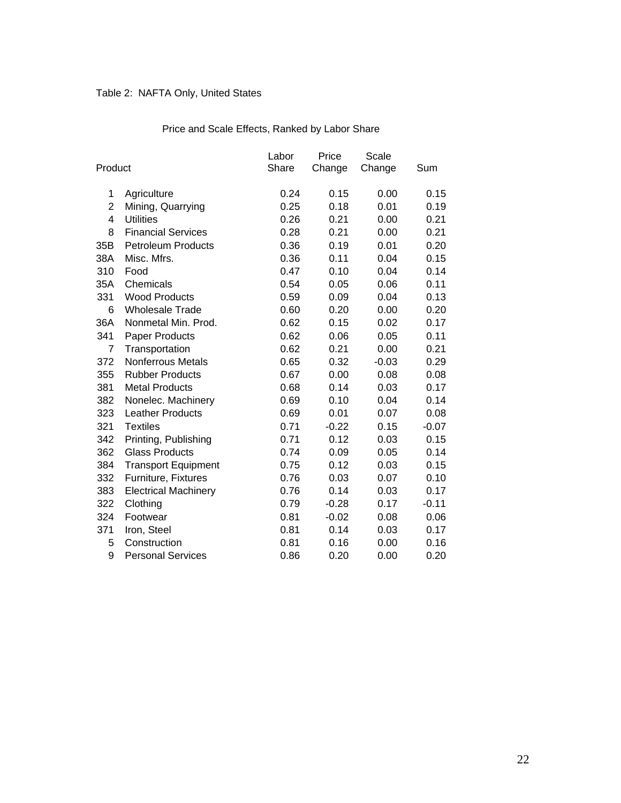# Table 2: NAFTA Only, United States

|                |                             | Labor | Price   | Scale   |         |
|----------------|-----------------------------|-------|---------|---------|---------|
| Product        |                             | Share | Change  | Change  | Sum     |
|                |                             |       |         |         |         |
| 1              | Agriculture                 | 0.24  | 0.15    | 0.00    | 0.15    |
| $\overline{2}$ | Mining, Quarrying           | 0.25  | 0.18    | 0.01    | 0.19    |
| 4              | <b>Utilities</b>            | 0.26  | 0.21    | 0.00    | 0.21    |
| 8              | <b>Financial Services</b>   | 0.28  | 0.21    | 0.00    | 0.21    |
| 35B            | <b>Petroleum Products</b>   | 0.36  | 0.19    | 0.01    | 0.20    |
| 38A            | Misc. Mfrs.                 | 0.36  | 0.11    | 0.04    | 0.15    |
| 310            | Food                        | 0.47  | 0.10    | 0.04    | 0.14    |
| 35A            | Chemicals                   | 0.54  | 0.05    | 0.06    | 0.11    |
| 331            | <b>Wood Products</b>        | 0.59  | 0.09    | 0.04    | 0.13    |
| 6              | <b>Wholesale Trade</b>      | 0.60  | 0.20    | 0.00    | 0.20    |
| 36A            | Nonmetal Min. Prod.         | 0.62  | 0.15    | 0.02    | 0.17    |
| 341            | Paper Products              | 0.62  | 0.06    | 0.05    | 0.11    |
| 7              | Transportation              | 0.62  | 0.21    | 0.00    | 0.21    |
| 372            | <b>Nonferrous Metals</b>    | 0.65  | 0.32    | $-0.03$ | 0.29    |
| 355            | <b>Rubber Products</b>      | 0.67  | 0.00    | 0.08    | 0.08    |
| 381            | <b>Metal Products</b>       | 0.68  | 0.14    | 0.03    | 0.17    |
| 382            | Nonelec. Machinery          | 0.69  | 0.10    | 0.04    | 0.14    |
| 323            | <b>Leather Products</b>     | 0.69  | 0.01    | 0.07    | 0.08    |
| 321            | <b>Textiles</b>             | 0.71  | $-0.22$ | 0.15    | $-0.07$ |
| 342            | Printing, Publishing        | 0.71  | 0.12    | 0.03    | 0.15    |
| 362            | <b>Glass Products</b>       | 0.74  | 0.09    | 0.05    | 0.14    |
| 384            | <b>Transport Equipment</b>  | 0.75  | 0.12    | 0.03    | 0.15    |
| 332            | Furniture, Fixtures         | 0.76  | 0.03    | 0.07    | 0.10    |
| 383            | <b>Electrical Machinery</b> | 0.76  | 0.14    | 0.03    | 0.17    |
| 322            | Clothing                    | 0.79  | $-0.28$ | 0.17    | $-0.11$ |
| 324            | Footwear                    | 0.81  | $-0.02$ | 0.08    | 0.06    |
| 371            | Iron, Steel                 | 0.81  | 0.14    | 0.03    | 0.17    |
| 5              | Construction                | 0.81  | 0.16    | 0.00    | 0.16    |
| 9              | <b>Personal Services</b>    | 0.86  | 0.20    | 0.00    | 0.20    |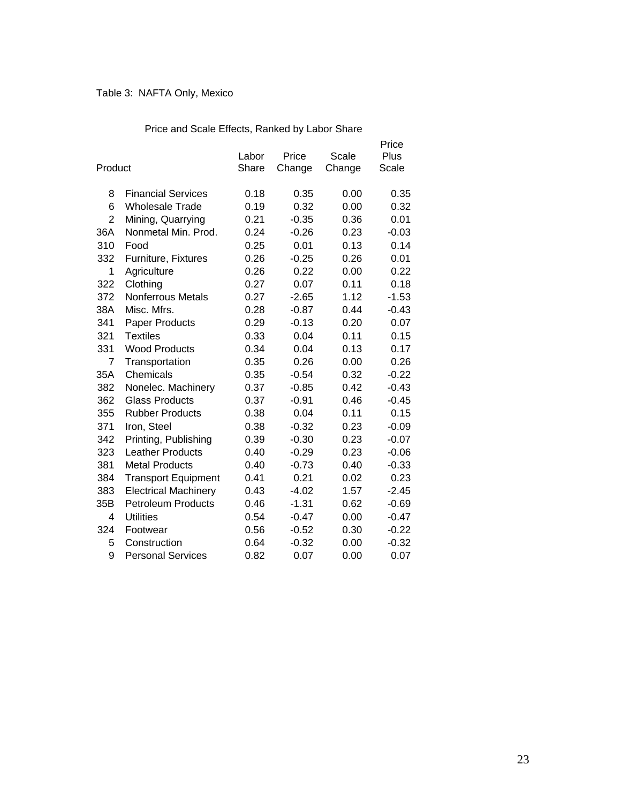# Table 3: NAFTA Only, Mexico

| Product        |                             | Labor<br>Share | Price<br>Change | Scale<br>Change | Price<br>Plus<br>Scale |
|----------------|-----------------------------|----------------|-----------------|-----------------|------------------------|
| 8              | <b>Financial Services</b>   | 0.18           | 0.35            | 0.00            | 0.35                   |
| 6              | <b>Wholesale Trade</b>      | 0.19           | 0.32            | 0.00            | 0.32                   |
| $\overline{2}$ | Mining, Quarrying           | 0.21           | $-0.35$         | 0.36            | 0.01                   |
| 36A            | Nonmetal Min. Prod.         | 0.24           | $-0.26$         | 0.23            | $-0.03$                |
| 310            | Food                        | 0.25           | 0.01            | 0.13            | 0.14                   |
| 332            | Furniture, Fixtures         | 0.26           | $-0.25$         | 0.26            | 0.01                   |
| 1              | Agriculture                 | 0.26           | 0.22            | 0.00            | 0.22                   |
| 322            | Clothing                    | 0.27           | 0.07            | 0.11            | 0.18                   |
| 372            | <b>Nonferrous Metals</b>    | 0.27           | $-2.65$         | 1.12            | $-1.53$                |
| 38A            | Misc. Mfrs.                 | 0.28           | $-0.87$         | 0.44            | $-0.43$                |
| 341            | <b>Paper Products</b>       | 0.29           | $-0.13$         | 0.20            | 0.07                   |
| 321            | <b>Textiles</b>             | 0.33           | 0.04            | 0.11            | 0.15                   |
| 331            | <b>Wood Products</b>        | 0.34           | 0.04            | 0.13            | 0.17                   |
| 7              | Transportation              | 0.35           | 0.26            | 0.00            | 0.26                   |
| 35A            | Chemicals                   | 0.35           | $-0.54$         | 0.32            | $-0.22$                |
| 382            | Nonelec. Machinery          | 0.37           | $-0.85$         | 0.42            | $-0.43$                |
| 362            | Glass Products              | 0.37           | $-0.91$         | 0.46            | $-0.45$                |
| 355            | <b>Rubber Products</b>      | 0.38           | 0.04            | 0.11            | 0.15                   |
| 371            | Iron, Steel                 | 0.38           | $-0.32$         | 0.23            | $-0.09$                |
| 342            | Printing, Publishing        | 0.39           | $-0.30$         | 0.23            | $-0.07$                |
| 323            | <b>Leather Products</b>     | 0.40           | $-0.29$         | 0.23            | $-0.06$                |
| 381            | <b>Metal Products</b>       | 0.40           | $-0.73$         | 0.40            | $-0.33$                |
| 384            | <b>Transport Equipment</b>  | 0.41           | 0.21            | 0.02            | 0.23                   |
| 383            | <b>Electrical Machinery</b> | 0.43           | $-4.02$         | 1.57            | $-2.45$                |
| 35B            | <b>Petroleum Products</b>   | 0.46           | $-1.31$         | 0.62            | $-0.69$                |
| 4              | <b>Utilities</b>            | 0.54           | $-0.47$         | 0.00            | $-0.47$                |
| 324            | Footwear                    | 0.56           | $-0.52$         | 0.30            | $-0.22$                |
| 5              | Construction                | 0.64           | $-0.32$         | 0.00            | $-0.32$                |
| 9              | <b>Personal Services</b>    | 0.82           | 0.07            | 0.00            | 0.07                   |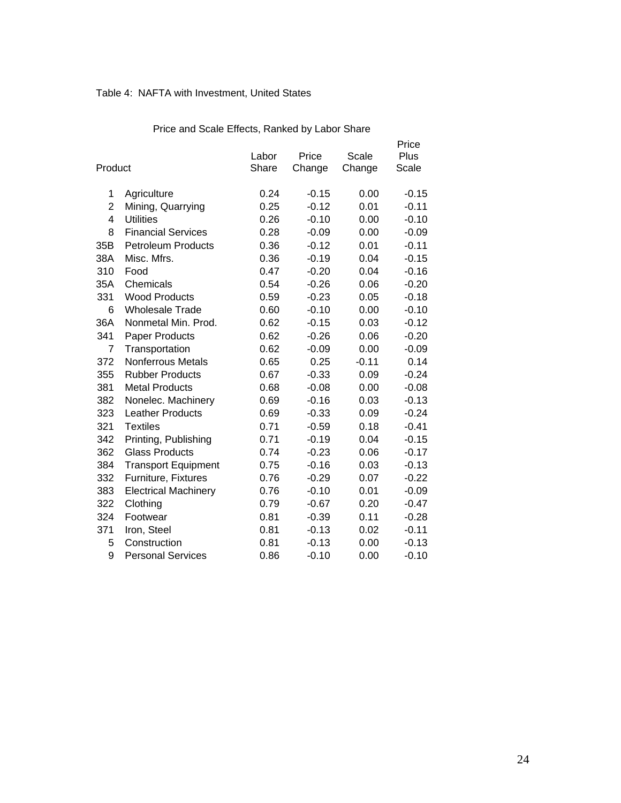# Table 4: NAFTA with Investment, United States

| Product        |                             | Labor<br>Share | Price<br>Change | Scale<br>Change | Price<br>Plus<br>Scale |
|----------------|-----------------------------|----------------|-----------------|-----------------|------------------------|
|                |                             |                |                 |                 |                        |
| 1              | Agriculture                 | 0.24           | $-0.15$         | 0.00            | $-0.15$                |
| $\overline{2}$ | Mining, Quarrying           | 0.25           | $-0.12$         | 0.01            | $-0.11$                |
| 4              | <b>Utilities</b>            | 0.26           | $-0.10$         | 0.00            | $-0.10$                |
| 8              | <b>Financial Services</b>   | 0.28           | $-0.09$         | 0.00            | $-0.09$                |
| 35B            | <b>Petroleum Products</b>   | 0.36           | $-0.12$         | 0.01            | $-0.11$                |
| 38A            | Misc. Mfrs.                 | 0.36           | $-0.19$         | 0.04            | $-0.15$                |
| 310            | Food                        | 0.47           | $-0.20$         | 0.04            | $-0.16$                |
| 35A            | Chemicals                   | 0.54           | $-0.26$         | 0.06            | $-0.20$                |
| 331            | <b>Wood Products</b>        | 0.59           | $-0.23$         | 0.05            | $-0.18$                |
| 6              | <b>Wholesale Trade</b>      | 0.60           | $-0.10$         | 0.00            | $-0.10$                |
| 36A            | Nonmetal Min. Prod.         | 0.62           | $-0.15$         | 0.03            | $-0.12$                |
| 341            | Paper Products              | 0.62           | $-0.26$         | 0.06            | $-0.20$                |
| 7              | Transportation              | 0.62           | $-0.09$         | 0.00            | $-0.09$                |
| 372            | Nonferrous Metals           | 0.65           | 0.25            | $-0.11$         | 0.14                   |
| 355            | <b>Rubber Products</b>      | 0.67           | $-0.33$         | 0.09            | $-0.24$                |
| 381            | <b>Metal Products</b>       | 0.68           | $-0.08$         | 0.00            | $-0.08$                |
| 382            | Nonelec. Machinery          | 0.69           | $-0.16$         | 0.03            | $-0.13$                |
| 323            | <b>Leather Products</b>     | 0.69           | $-0.33$         | 0.09            | $-0.24$                |
| 321            | <b>Textiles</b>             | 0.71           | $-0.59$         | 0.18            | $-0.41$                |
| 342            | Printing, Publishing        | 0.71           | $-0.19$         | 0.04            | $-0.15$                |
| 362            | <b>Glass Products</b>       | 0.74           | $-0.23$         | 0.06            | $-0.17$                |
| 384            | <b>Transport Equipment</b>  | 0.75           | $-0.16$         | 0.03            | $-0.13$                |
| 332            | Furniture, Fixtures         | 0.76           | $-0.29$         | 0.07            | $-0.22$                |
| 383            | <b>Electrical Machinery</b> | 0.76           | $-0.10$         | 0.01            | $-0.09$                |
| 322            | Clothing                    | 0.79           | $-0.67$         | 0.20            | $-0.47$                |
| 324            | Footwear                    | 0.81           | $-0.39$         | 0.11            | $-0.28$                |
| 371            | Iron, Steel                 | 0.81           | $-0.13$         | 0.02            | $-0.11$                |
| 5              | Construction                | 0.81           | $-0.13$         | 0.00            | $-0.13$                |
| 9              | <b>Personal Services</b>    | 0.86           | $-0.10$         | 0.00            | $-0.10$                |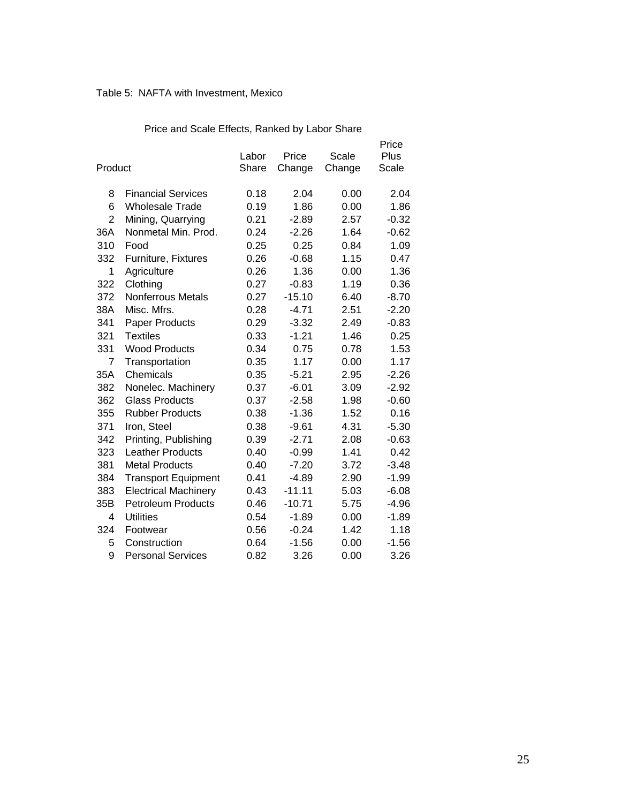# Table 5: NAFTA with Investment, Mexico

| Product        |                             | Labor<br>Share | Price<br>Change | Scale<br>Change | Price<br>Plus<br>Scale |
|----------------|-----------------------------|----------------|-----------------|-----------------|------------------------|
| 8              | <b>Financial Services</b>   | 0.18           | 2.04            | 0.00            | 2.04                   |
| 6              | <b>Wholesale Trade</b>      | 0.19           | 1.86            | 0.00            | 1.86                   |
| $\overline{2}$ | Mining, Quarrying           | 0.21           | $-2.89$         | 2.57            | $-0.32$                |
| 36A            | Nonmetal Min. Prod.         | 0.24           | $-2.26$         | 1.64            | $-0.62$                |
| 310            | Food                        | 0.25           | 0.25            | 0.84            | 1.09                   |
| 332            | Furniture, Fixtures         | 0.26           | $-0.68$         | 1.15            | 0.47                   |
| 1              | Agriculture                 | 0.26           | 1.36            | 0.00            | 1.36                   |
| 322            | Clothing                    | 0.27           | $-0.83$         | 1.19            | 0.36                   |
| 372            | <b>Nonferrous Metals</b>    | 0.27           | $-15.10$        | 6.40            | $-8.70$                |
| 38A            | Misc. Mfrs.                 | 0.28           | $-4.71$         | 2.51            | $-2.20$                |
| 341            | <b>Paper Products</b>       | 0.29           | $-3.32$         | 2.49            | $-0.83$                |
| 321            | <b>Textiles</b>             | 0.33           | $-1.21$         | 1.46            | 0.25                   |
| 331            | <b>Wood Products</b>        | 0.34           | 0.75            | 0.78            | 1.53                   |
| 7              | Transportation              | 0.35           | 1.17            | 0.00            | 1.17                   |
| 35A            | Chemicals                   | 0.35           | $-5.21$         | 2.95            | $-2.26$                |
| 382            | Nonelec. Machinery          | 0.37           | $-6.01$         | 3.09            | $-2.92$                |
| 362            | <b>Glass Products</b>       | 0.37           | $-2.58$         | 1.98            | $-0.60$                |
| 355            | <b>Rubber Products</b>      | 0.38           | $-1.36$         | 1.52            | 0.16                   |
| 371            | Iron, Steel                 | 0.38           | $-9.61$         | 4.31            | $-5.30$                |
| 342            | Printing, Publishing        | 0.39           | $-2.71$         | 2.08            | $-0.63$                |
| 323            | <b>Leather Products</b>     | 0.40           | $-0.99$         | 1.41            | 0.42                   |
| 381            | <b>Metal Products</b>       | 0.40           | $-7.20$         | 3.72            | $-3.48$                |
| 384            | <b>Transport Equipment</b>  | 0.41           | $-4.89$         | 2.90            | $-1.99$                |
| 383            | <b>Electrical Machinery</b> | 0.43           | $-11.11$        | 5.03            | $-6.08$                |
| 35B            | <b>Petroleum Products</b>   | 0.46           | $-10.71$        | 5.75            | $-4.96$                |
| 4              | <b>Utilities</b>            | 0.54           | $-1.89$         | 0.00            | $-1.89$                |
| 324            | Footwear                    | 0.56           | $-0.24$         | 1.42            | 1.18                   |
| 5              | Construction                | 0.64           | $-1.56$         | 0.00            | $-1.56$                |
| 9              | <b>Personal Services</b>    | 0.82           | 3.26            | 0.00            | 3.26                   |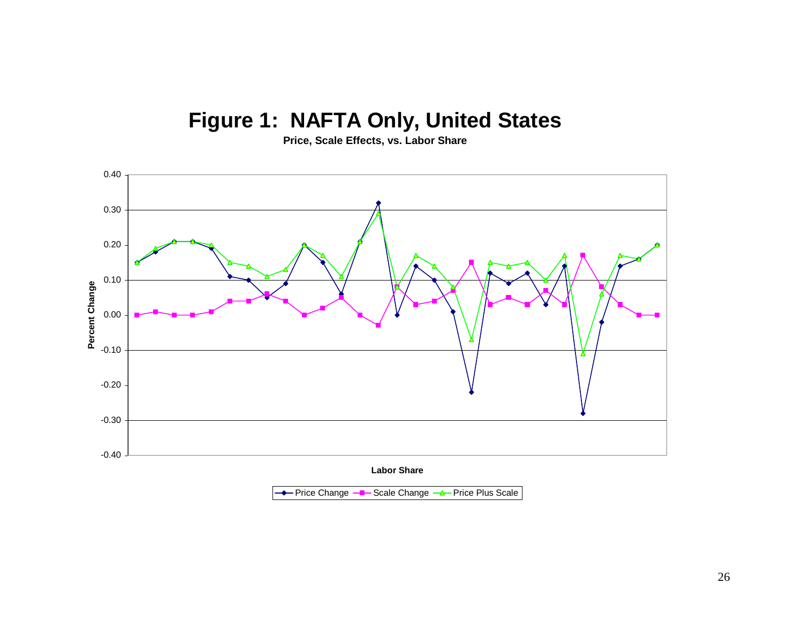# **Figure 1: NAFTA Only, United States**

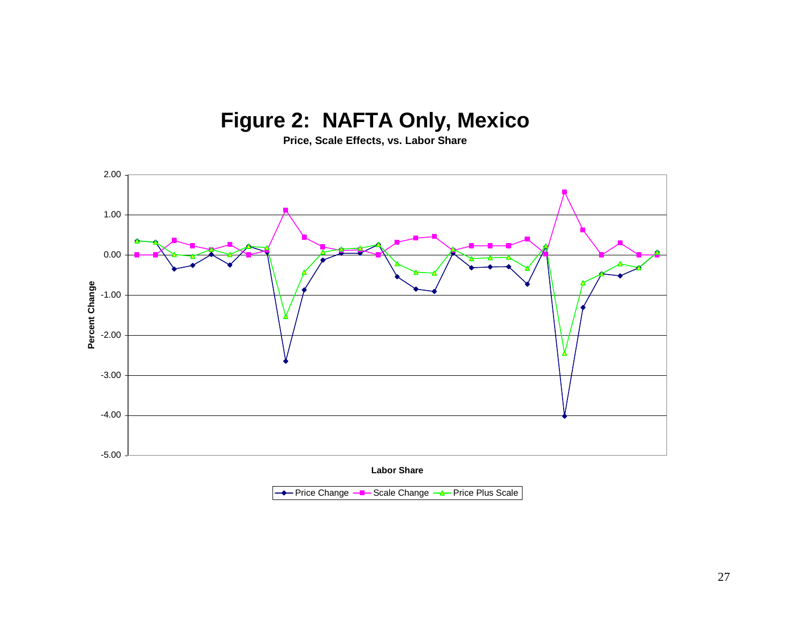# **Figure 2: NAFTA Only, Mexico**

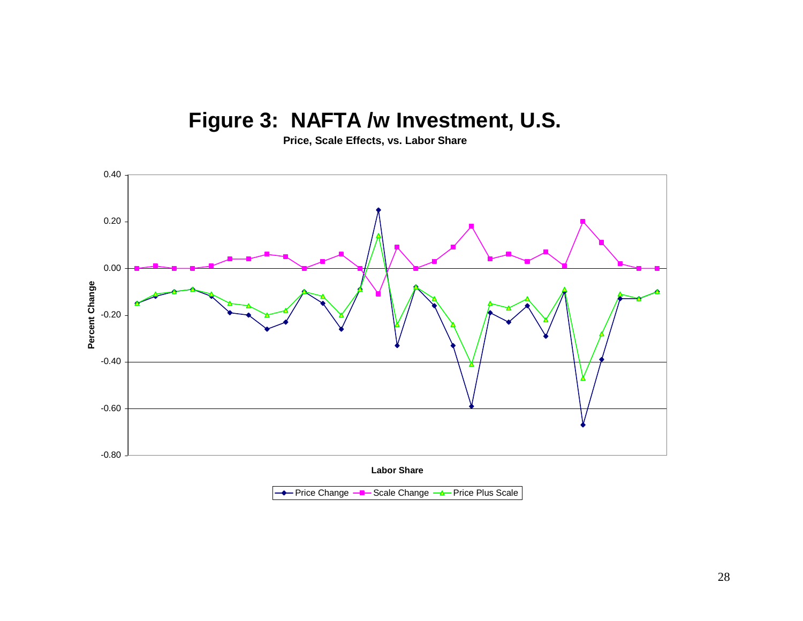# **Figure 3: NAFTA /w Investment, U.S.**

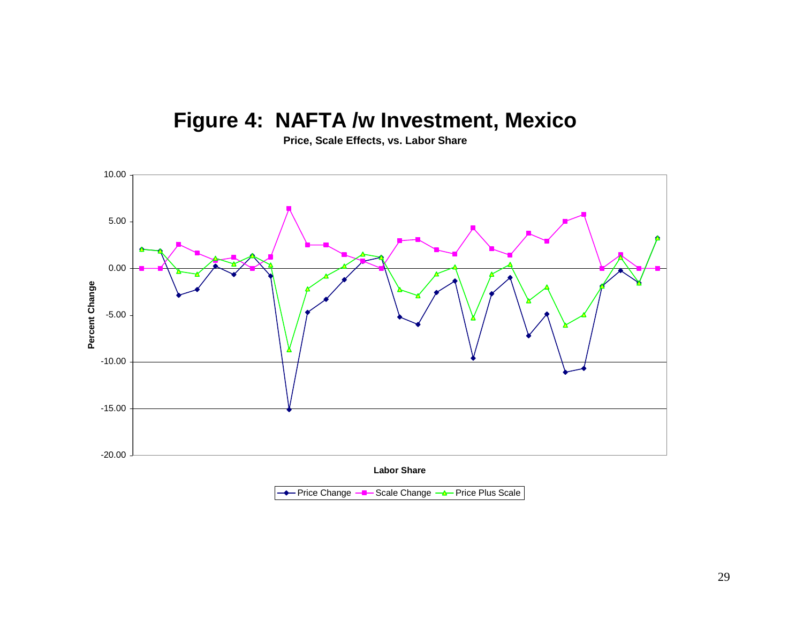# **Figure 4: NAFTA /w Investment, Mexico**

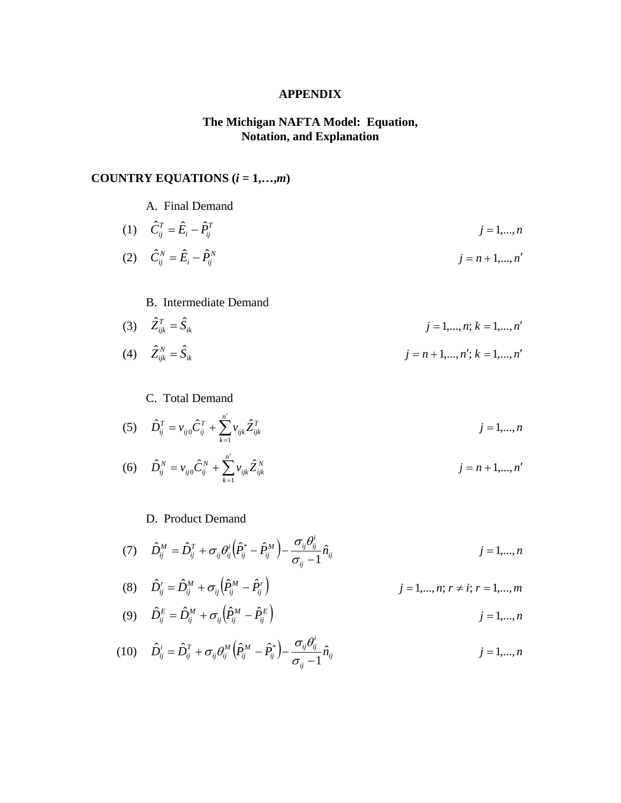#### **APPENDIX**

# **The Michigan NAFTA Model: Equation, Notation, and Explanation**

# **COUNTRY EQUATIONS (***i* **= 1,…,***m***)**

A. Final Demand

(1) 
$$
\hat{C}_{ij}^T = \hat{E}_i - \hat{P}_{ij}^T
$$
   
\n(2)  $\hat{C}_{ij}^N = \hat{E}_i - \hat{P}_{ij}^N$    
\n(3)  $j = n + 1, ..., n'$ 

### B. Intermediate Demand

(3) 
$$
\hat{Z}_{ijk}^T = \hat{S}_{ik}
$$
  
\n(4)  $\hat{Z}_{ijk}^N = \hat{S}_{ik}$   
\n(5)  $j = 1,...,n; k = 1,...,n'$   
\n(6)  $j = n + 1,...,n'; k = 1,...,n'$ 

### C. Total Demand

(5) 
$$
\hat{D}_{ij}^T = v_{ij0}\hat{C}_{ij}^T + \sum_{k=1}^{n'} v_{ijk}\hat{Z}_{ijk}^T
$$
  $j = 1,...,n$ 

(6) 
$$
\hat{D}_{ij}^N = v_{ij0}\hat{C}_{ij}^N + \sum_{k=1}^{n'} v_{ijk}\hat{Z}_{ijk}^N
$$
  $j = n+1,...,n'$ 

# D. Product Demand

$$
(7) \qquad \hat{D}_{ij}^M = \hat{D}_{ij}^T + \sigma_{ij}\theta_{ij}^i \left(\hat{P}_{ij}^* - \hat{P}_{ij}^M\right) - \frac{\sigma_{ij}\theta_{ij}^i}{\sigma_{ij} - 1}\hat{n}_{ij} \qquad j = 1,...,n
$$

(8) 
$$
\hat{D}_{ij}^r = \hat{D}_{ij}^M + \sigma_{ij} \left( \hat{P}_{ij}^M - \hat{P}_{ij}^r \right)
$$
   
  $j = 1,..., n; r \neq i; r = 1,..., m$ 

(9) 
$$
\hat{D}_{ij}^E = \hat{D}_{ij}^M + \sigma_{ij} \left( \hat{P}_{ij}^M - \hat{P}_{ij}^E \right)
$$
   
  $j = 1,...,n$ 

$$
(10) \qquad \hat{D}_{ij}^i = \hat{D}_{ij}^T + \sigma_{ij}\theta_{ij}^M \left(\hat{P}_{ij}^M - \hat{P}_{ij}^*\right) - \frac{\sigma_{ij}\theta_{ij}^i}{\sigma_{ij} - 1}\hat{n}_{ij} \qquad j = 1,...,n
$$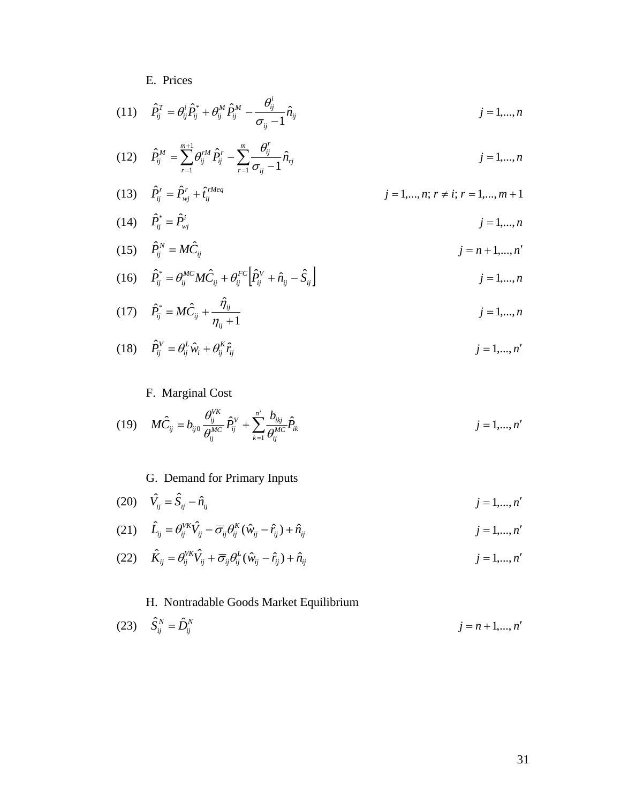# E. Prices

(11) 
$$
\hat{P}_{ij}^T = \theta_{ij}^i \hat{P}_{ij}^* + \theta_{ij}^M \hat{P}_{ij}^M - \frac{\theta_{ij}^i}{\sigma_{ij} - 1} \hat{n}_{ij}
$$
  
\n(12) 
$$
\hat{P}_{ij}^M = \sum_{r=1}^{m+1} \theta_{ij}^{rM} \hat{P}_{ij}^r - \sum_{r=1}^m \frac{\theta_{ij}^r}{\sigma_{ij} - 1} \hat{n}_{rj}
$$
  
\n(13) 
$$
\hat{P}_{ij}^r = \hat{P}_{wj}^r + \hat{i}_{ij}^{rMeq}
$$
  
\n(14) 
$$
\hat{P}_{ij}^* = \hat{P}_{wj}^i
$$
  
\n(15) 
$$
\hat{P}_{ij}^N = M\hat{C}_{ij}
$$
  
\n(16) 
$$
\hat{P}_{ij}^* = \theta_{ij}^{MC} M \hat{C}_{ij} + \theta_{ij}^{FC} \left[ \hat{P}_{ij}^V + \hat{n}_{ij} - \hat{S}_{ij} \right]
$$
  
\n(17) 
$$
\hat{P}_{ij}^* = M \hat{C}_{ij} + \frac{\hat{\eta}_{ij}}{\eta_{ij} + 1}
$$
  
\n(18) 
$$
j = 1,..., n'
$$
  
\n(19) 
$$
\hat{P}_{ij}^* = M \hat{C}_{ij} + \frac{\hat{\eta}_{ij}}{\eta_{ij} + 1}
$$
  
\n(10) 
$$
j = 1,..., n
$$
  
\n(11) 
$$
\hat{P}_{ij}^* = M \hat{C}_{ij} + \frac{\hat{\eta}_{ij}}{\eta_{ij} + 1}
$$
  
\n(12) 
$$
j = 1,..., n
$$
  
\n(13) 
$$
j = 1,..., n
$$
  
\n(14) 
$$
j = 1,..., n'
$$
  
\n(15) 
$$
j = 1,..., n
$$
  
\n(16) 
$$
j = 1,..., n
$$
  
\n(17) 
$$
j = 1,..., n
$$

(18) 
$$
\hat{P}_{ij}^V = \theta_{ij}^L \hat{w}_i + \theta_{ij}^K \hat{r}_{ij}
$$
 *j* = 1,..., *n'*

# F. Marginal Cost

(19) 
$$
M\hat{C}_{ij} = b_{ij0} \frac{\theta_{ij}^{VK}}{\theta_{ij}^{MC}} \hat{P}_{ij}^{V} + \sum_{k=1}^{n'} \frac{b_{ikj}}{\theta_{ij}^{MC}} \hat{P}_{ik}
$$
  $j = 1,...,n'$ 

# G. Demand for Primary Inputs

(20) 
$$
\hat{V}_{ij} = \hat{S}_{ij} - \hat{n}_{ij}
$$
  $j = 1,...,n'$ 

$$
(21) \quad \hat{L}_{ij} = \theta_{ij}^{VK}\hat{V}_{ij} - \overline{\sigma}_{ij}\theta_{ij}^{K}(\hat{w}_{ij} - \hat{r}_{ij}) + \hat{n}_{ij} \qquad j = 1,...,n'
$$

$$
(22) \qquad \hat{K}_{ij} = \theta_{ij}^{V\kappa} \hat{V}_{ij} + \overline{\sigma}_{ij} \theta_{ij}^{L} (\hat{w}_{ij} - \hat{r}_{ij}) + \hat{n}_{ij} \qquad j = 1,...,n'
$$

# H. Nontradable Goods Market Equilibrium

(23) 
$$
\hat{S}_{ij}^N = \hat{D}_{ij}^N
$$
  $j = n + 1, ..., n'$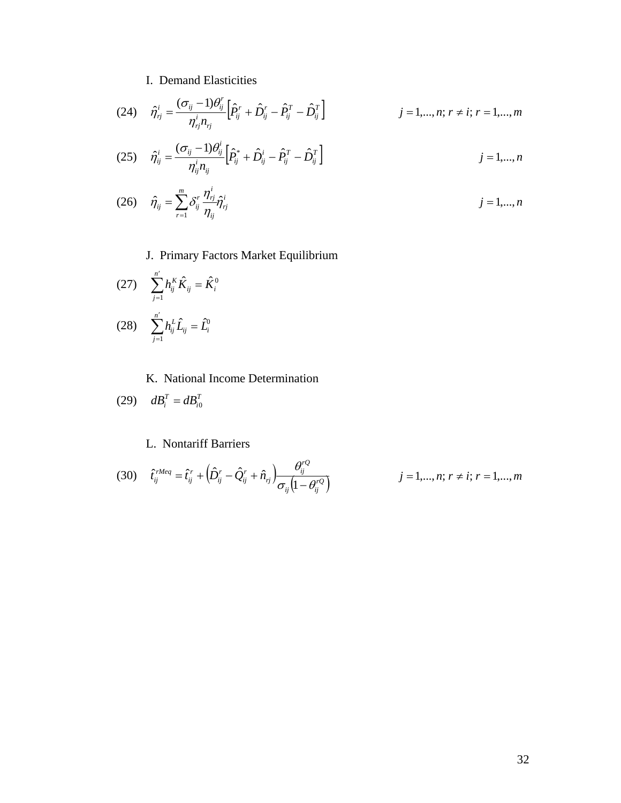# I. Demand Elasticities

*ij*

(24) 
$$
\hat{\eta}_{ij}^{i} = \frac{(\sigma_{ij} - 1)\theta_{ij}^{r}}{\eta_{ij}^{i}n_{ij}} \Big[ \hat{P}_{ij}^{r} + \hat{D}_{ij}^{r} - \hat{P}_{ij}^{T} - \hat{D}_{ij}^{T} \Big] \qquad j = 1,...,n; r \neq i; r = 1,...,m
$$
  
(25) 
$$
\hat{\eta}_{ij}^{i} = \frac{(\sigma_{ij} - 1)\theta_{ij}^{i}}{\eta_{ij}^{i}n_{ij}} \Big[ \hat{P}_{ij}^{*} + \hat{D}_{ij}^{i} - \hat{P}_{ij}^{T} - \hat{D}_{ij}^{T} \Big] \qquad j = 1,...,n
$$

(26) 
$$
\hat{\eta}_{ij} = \sum_{r=1}^{m} \delta_{ij}^r \frac{\eta_{rj}^i}{\eta_{ij}} \hat{\eta}_{rj}^i
$$
 *j* = 1,..., *n*

J. Primary Factors Market Equilibrium

(27) 
$$
\sum_{j=1}^{n'} h_{ij}^{K} \hat{K}_{ij} = \hat{K}_{i}^{0}
$$
  
(28) 
$$
\sum_{j=1}^{n'} h_{ij}^{L} \hat{L}_{ij} = \hat{L}_{i}^{0}
$$

K. National Income Determination

$$
(29) \quad dB_i^T = dB_{i0}^T
$$

# L. Nontariff Barriers

(30) 
$$
\hat{t}_{ij}^{rMeq} = \hat{t}_{ij}^{r} + (\hat{D}_{ij}^{r} - \hat{Q}_{ij}^{r} + \hat{n}_{rj}) \frac{\theta_{ij}^{rQ}}{\sigma_{ij} (1 - \theta_{ij}^{rQ})}
$$
  $j = 1,..., n; r \neq i; r = 1,..., m$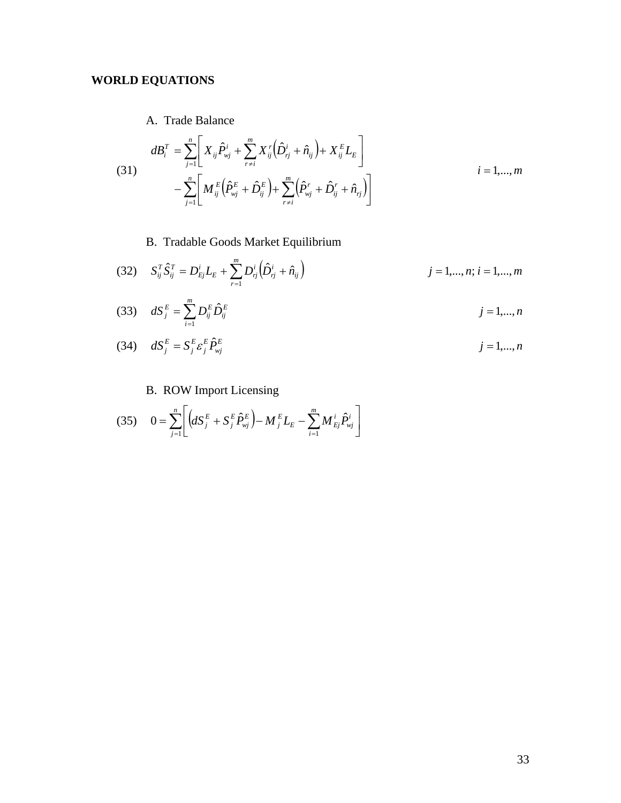# **WORLD EQUATIONS**

A. Trade Balance

(31)  

$$
dB_i^T = \sum_{j=1}^n \left[ X_{ij} \hat{P}_{vj}^i + \sum_{r \neq i}^m X_{ij}^r (\hat{D}_{rj}^i + \hat{n}_{ij}) + X_{ij}^E L_E \right]
$$

$$
- \sum_{j=1}^n \left[ M_{ij}^E (\hat{P}_{vj}^E + \hat{D}_{ij}^E) + \sum_{r \neq i}^m (\hat{P}_{vj}^r + \hat{D}_{ij}^r + \hat{n}_{rj}) \right]
$$
 $i = 1,...,m$ 

B. Tradable Goods Market Equilibrium

(32) 
$$
S_{ij}^T \hat{S}_{ij}^T = D_{Ej}^i L_E + \sum_{r=1}^m D_{rj}^i (\hat{D}_{rj}^i + \hat{n}_{ij})
$$
   
  $j = 1,...,n; i = 1,...,m$ 

(33) 
$$
dS_{j}^{E} = \sum_{i=1}^{m} D_{ij}^{E} \hat{D}_{ij}^{E}
$$
  
\n(34) 
$$
dS_{j}^{E} = S_{j}^{E} \varepsilon_{j}^{E} \hat{P}_{ij}^{E}
$$
  
\n(34) 
$$
dS_{j}^{E} = S_{j}^{E} \varepsilon_{j}^{E} \hat{P}_{ij}^{E}
$$
  
\n(35) 
$$
j = 1,...,n
$$

# B. ROW Import Licensing

*j*

(35) 
$$
0 = \sum_{j=1}^{n} \left[ \left( dS_j^{E} + S_j^{E} \hat{P}_{wj}^{E} \right) - M_j^{E} L_E - \sum_{i=1}^{m} M_{Ej}^{i} \hat{P}_{wj}^{i} \right]
$$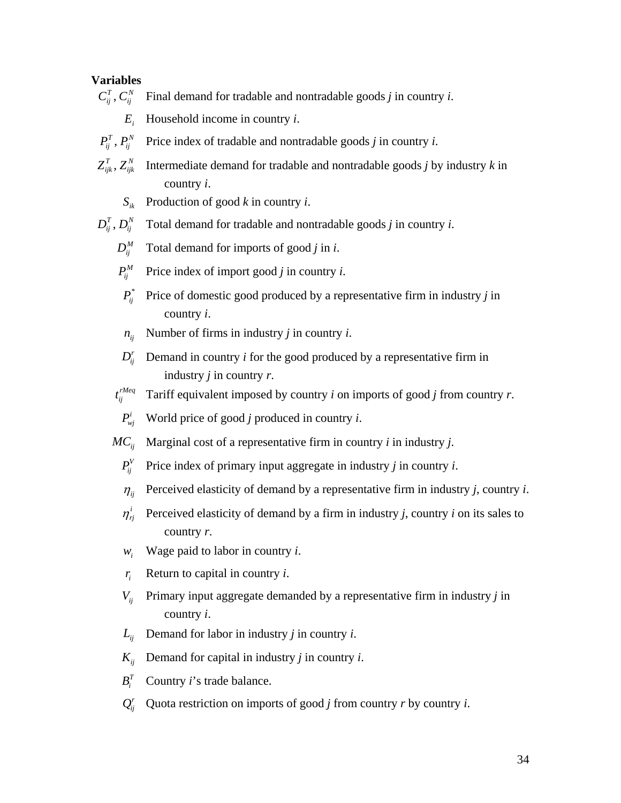#### **Variables**

- Final demand for tradable and nontradable goods *j* in country *i*. *<sup>N</sup>*  $C_{ij}^T, C_{ij}^T$ 
	- $E_i$  Household income in country *i*.
- Price index of tradable and nontradable goods *j* in country *i*. *<sup>N</sup>*  $P_{ij}^T$  ,  $P_{ij}$
- Intermediate demand for tradable and nontradable goods *j* by industry *k* in country *i*. *N*  $Z_{ijk}^T, Z_{ijk}^N$ 
	- $S_{ik}$  Production of good *k* in country *i*.
- Total demand for tradable and nontradable goods *j* in country *i*. *<sup>N</sup>*  $D_{ij}^T$  ,  $D_{ij}^T$ 
	- $D_{ii}^M$  Total demand for imports of good *j* in *i*.
	- $P_{ii}^M$  Price index of import good *j* in country *i*.
	- Price of domestic good produced by a representative firm in industry *j* in country *i*.  $P_{ii}^*$
	- $n_{ii}$  Number of firms in industry *j* in country *i*.
	- Demand in country *i* for the good produced by a representative firm in industry *j* in country *r*.  $D_{ii}^r$
	- Tariff equivalent imposed by country  $i$  on imports of good  $j$  from country  $r$ .  $t_{ii}^{rMeq}$

 $P_{wi}^i$  World price of good *j* produced in country *i*.

 $MC_{ii}$  Marginal cost of a representative firm in country *i* in industry *j*.

- $P_i^V$  Price index of primary input aggregate in industry *j* in country *i*.
- $\eta_{ii}$  Perceived elasticity of demand by a representative firm in industry *j*, country *i*.
- Perceived elasticity of demand by a firm in industry *j*, country *i* on its sales to country *r*.  $\eta_{\scriptscriptstyle ri}^i$
- $w_i$  Wage paid to labor in country *i*.
- $r_i$  Return to capital in country *i*.
- Primary input aggregate demanded by a representative firm in industry *j* in country *i*.  $V_{ii}$
- $L_{ii}$  Demand for labor in industry *j* in country *i*.
- $K_{ii}$  Demand for capital in industry *j* in country *i*.
- $B_i^T$  Country *i*'s trade balance.
- $Q_i^r$  Quota restriction on imports of good *j* from country *r* by country *i*.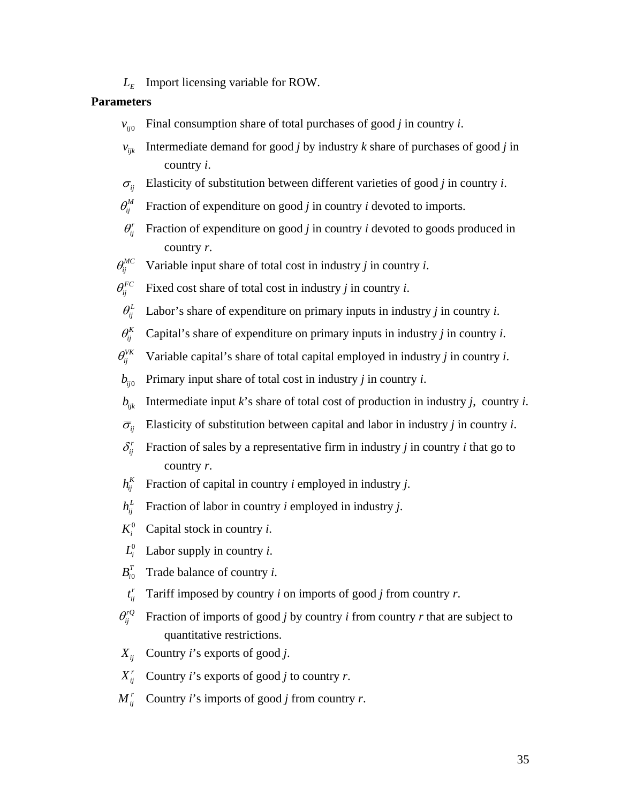$L<sub>F</sub>$  Import licensing variable for ROW.

#### **Parameters**

- $v_{\text{in}}$  Final consumption share of total purchases of good *j* in country *i*.
- Intermediate demand for good *j* by industry *k* share of purchases of good *j* in country *i*.  $v_{ijk}$
- $\sigma_{ii}$  Elasticity of substitution between different varieties of good *j* in country *i*.
- $\theta_i^M$  Fraction of expenditure on good *j* in country *i* devoted to imports.
- Fraction of expenditure on good *j* in country *i* devoted to goods produced in country *r*.  $\theta_{ii}^r$
- $\theta_i^{MC}$  Variable input share of total cost in industry *j* in country *i*.

 $\theta_i^{FC}$  Fixed cost share of total cost in industry *j* in country *i*.

- $\theta_{ii}^{L}$  Labor's share of expenditure on primary inputs in industry *j* in country *i*.
- $\theta_i^K$  Capital's share of expenditure on primary inputs in industry *j* in country *i*.
- $\theta_i^{VK}$  Variable capital's share of total capital employed in industry *j* in country *i*.
- $b_{ii0}$  Primary input share of total cost in industry *j* in country *i*.
- $b_{ijk}$  Intermediate input *k*'s share of total cost of production in industry *j*, country *i*.
- $\overline{\sigma}_{ii}$  Elasticity of substitution between capital and labor in industry *j* in country *i*.
- Fraction of sales by a representative firm in industry *j* in country *i* that go to country *r*.  $\delta_i^r$
- Fraction of capital in country *i* employed in industry *j*.  $h_{ii}^K$
- Fraction of labor in country *i* employed in industry *j*. *<sup>L</sup>*  $h_{ii}^L$
- $K_i^0$  Capital stock in country *i*.
- $L_i^0$  Labor supply in country *i*.
- $B_{i0}^T$  Trade balance of country *i*.
- Tariff imposed by country *i* on imports of good *j* from country *r*. *<sup>r</sup>*  $t_{ii}^r$
- Fraction of imports of good *j* by country *i* from country *r* that are subject to quantitative restrictions.  $\theta_{ii}^{rQ}$
- $X_{ii}$  Country *i*'s exports of good *j*.
- $X_{ii}^r$  Country *i*'s exports of good *j* to country *r*.
- $M_{ii}^r$  Country *i*'s imports of good *j* from country *r*.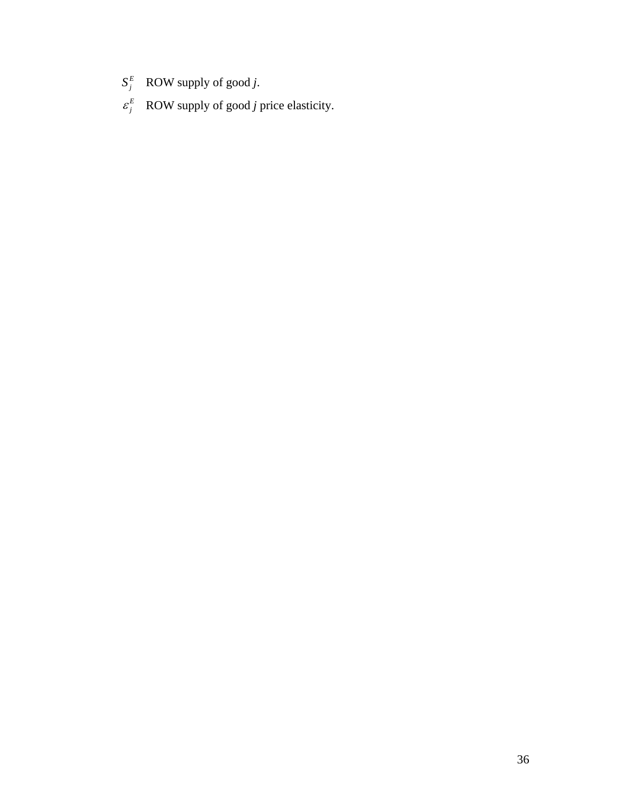- $S_j^E$  **ROW** supply of good *j*.
- $\varepsilon_j^E$  ROW supply of good *j* price elasticity.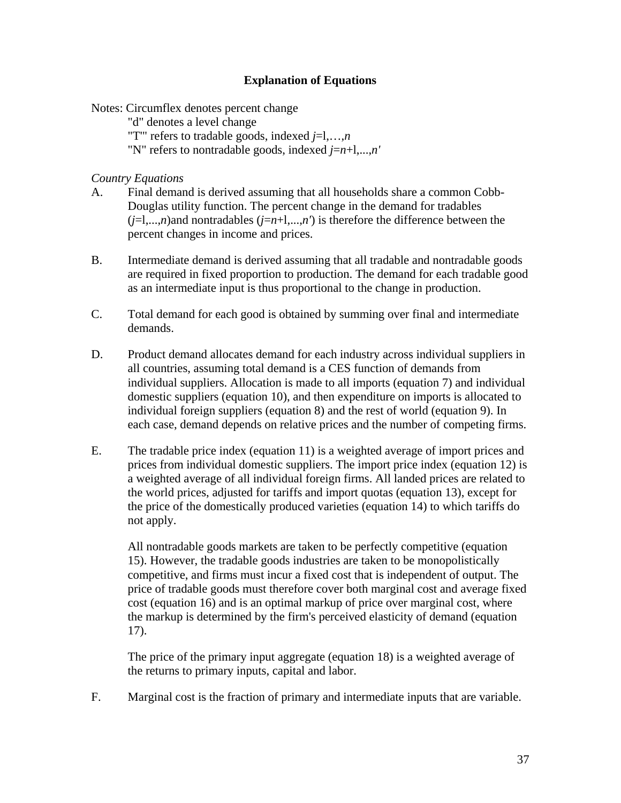## **Explanation of Equations**

Notes: Circumflex denotes percent change

"d" denotes a level change

"T'" refers to tradable goods, indexed *j*=l,…,*n*

"N" refers to nontradable goods, indexed *j*=*n*+l,...,*n'*

### *Country Equations*

- A. Final demand is derived assuming that all households share a common Cobb-Douglas utility function. The percent change in the demand for tradables  $(j=1,...,n)$  and nontradables  $(j=n+1,...,n')$  is therefore the difference between the percent changes in income and prices.
- B. Intermediate demand is derived assuming that all tradable and nontradable goods are required in fixed proportion to production. The demand for each tradable good as an intermediate input is thus proportional to the change in production.
- C. Total demand for each good is obtained by summing over final and intermediate demands.
- D. Product demand allocates demand for each industry across individual suppliers in all countries, assuming total demand is a CES function of demands from individual suppliers. Allocation is made to all imports (equation 7) and individual domestic suppliers (equation 10), and then expenditure on imports is allocated to individual foreign suppliers (equation 8) and the rest of world (equation 9). In each case, demand depends on relative prices and the number of competing firms.
- E. The tradable price index (equation 11) is a weighted average of import prices and prices from individual domestic suppliers. The import price index (equation 12) is a weighted average of all individual foreign firms. All landed prices are related to the world prices, adjusted for tariffs and import quotas (equation 13), except for the price of the domestically produced varieties (equation 14) to which tariffs do not apply.

All nontradable goods markets are taken to be perfectly competitive (equation 15). However, the tradable goods industries are taken to be monopolistically competitive, and firms must incur a fixed cost that is independent of output. The price of tradable goods must therefore cover both marginal cost and average fixed cost (equation 16) and is an optimal markup of price over marginal cost, where the markup is determined by the firm's perceived elasticity of demand (equation 17).

The price of the primary input aggregate (equation 18) is a weighted average of the returns to primary inputs, capital and labor.

F. Marginal cost is the fraction of primary and intermediate inputs that are variable.